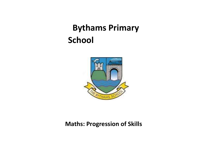# **Bythams Primary School**



# **Maths: Progression of Skills**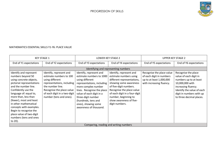

#### MATHEMATICS ESSENTIAL SKILLS Y1-Y6: PLACE VALUE

|                                                                                                                                                                                                                                                                                                                                                                                | <b>KEY STAGE 1</b>                                                                                                                                                                                              |                                                                                                                                                                                                                                                                                     | LOWER KEY STAGE 2                                                                                                                                                                                                                                                      | <b>UPPER KEY STAGE 2</b>                                                                                      |                                                                                                                                                                                                         |  |  |  |  |
|--------------------------------------------------------------------------------------------------------------------------------------------------------------------------------------------------------------------------------------------------------------------------------------------------------------------------------------------------------------------------------|-----------------------------------------------------------------------------------------------------------------------------------------------------------------------------------------------------------------|-------------------------------------------------------------------------------------------------------------------------------------------------------------------------------------------------------------------------------------------------------------------------------------|------------------------------------------------------------------------------------------------------------------------------------------------------------------------------------------------------------------------------------------------------------------------|---------------------------------------------------------------------------------------------------------------|---------------------------------------------------------------------------------------------------------------------------------------------------------------------------------------------------------|--|--|--|--|
| End of Y1 expectations                                                                                                                                                                                                                                                                                                                                                         | End of Y2 expectations                                                                                                                                                                                          | End of Y3 expectations                                                                                                                                                                                                                                                              | End of Y4 expectations                                                                                                                                                                                                                                                 | End of Y5 expectations                                                                                        | End of Y6 expectations                                                                                                                                                                                  |  |  |  |  |
|                                                                                                                                                                                                                                                                                                                                                                                | Identifying and representing numbers                                                                                                                                                                            |                                                                                                                                                                                                                                                                                     |                                                                                                                                                                                                                                                                        |                                                                                                               |                                                                                                                                                                                                         |  |  |  |  |
| Identify and represent<br>numbers beyond 50<br>using concrete objects,<br>pictorial representations<br>and the number line.<br>Confidently use the<br>language of: equal to,<br>more than, less than<br>(fewer), most and least<br>in other mathematical<br>concepts with examples.<br>Begin to recognise the<br>place value of two-digit<br>numbers (tens and ones<br>to 20). | Identify, represent and<br>estimate numbers to 100<br>using different<br>representations, including<br>the number line.<br>Recognise the place value<br>of each digit in a two-digit<br>number (tens and ones). | Identify, represent and<br>estimate numbers to 1000<br>using different<br>representations, including<br>more complex number<br>lines. Recognise the place<br>value of each digit in a<br>three-digit number<br>(hundreds, tens and<br>ones), showing some<br>awareness of thousand. | Identify, represent and<br>estimate numbers using<br>different representations,<br>showing some awareness<br>of five-digit numbers.<br>Recognise the place value<br>of each digit in a four-digit<br>number, beginning to<br>show awareness of five-<br>digit numbers. | Recognise the place value<br>of each digit in numbers<br>up to at least 1,000,000<br>with increasing fluency. | Recognise the place<br>value of each digit in<br>numbers up to at least<br>10,000,000 with<br>increasing fluency.<br>Identify the value of each<br>digit in numbers with up<br>to three decimal places. |  |  |  |  |
|                                                                                                                                                                                                                                                                                                                                                                                |                                                                                                                                                                                                                 |                                                                                                                                                                                                                                                                                     | Comparing, reading and writing numbers                                                                                                                                                                                                                                 |                                                                                                               |                                                                                                                                                                                                         |  |  |  |  |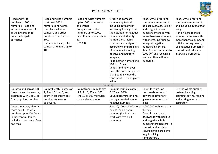

| Read and write<br>numbers to 100 in<br>numerals. Read and<br>write numbers from 1<br>to 20 in words (not<br>necessarily spelt<br>correctly).         | Read and write numbers<br>to at least 100 in<br>numerals and words.<br>Use place value to<br>compare and order<br>numbers from 0 up to<br>100.<br>Use $\lt$ , $>$ and = signs to<br>compare numbers up to<br>100. | Read and write numbers<br>up to 1000 in numerals<br>and words.<br>Compare and order<br>numbers up to 1000.<br>Read Roman numerals to<br>12<br>$($ l to XII $).$ | Order and compare<br>numbers up to and<br>including 10,000 with<br>increasing fluency. Use<br>the notation for negative<br>numbers and identify<br>numbers less than 0.<br>Use the $>$ and $<$ signs to<br>accurately compare pairs<br>of numbers, including<br>positive and negative<br>integers.<br>Read Roman numerals to<br>100 (I to C) and<br>understand how, over<br>time, the numeral system<br>changed to include the<br>concept of zero and place<br>value. | Read, write, order and<br>compare numbers up to<br>at least 1,000,000 using ><br>and < signs to make<br>number sentences with<br>more than two numbers,<br>with increasing fluency.<br>Interpret negative<br>numbers in context.<br>Read Roman numerals to<br>1000 (M) and recognise<br>years written in Roman<br>numerals. | Read, write, order and<br>compare numbers up to<br>and including 10,000,000<br>using<br>> and < signs to make<br>number sentences with<br>more than two numbers.<br>with increasing fluency.<br>Use negative numbers in<br>context, and calculate<br>intervals across zero. |
|------------------------------------------------------------------------------------------------------------------------------------------------------|-------------------------------------------------------------------------------------------------------------------------------------------------------------------------------------------------------------------|-----------------------------------------------------------------------------------------------------------------------------------------------------------------|-----------------------------------------------------------------------------------------------------------------------------------------------------------------------------------------------------------------------------------------------------------------------------------------------------------------------------------------------------------------------------------------------------------------------------------------------------------------------|-----------------------------------------------------------------------------------------------------------------------------------------------------------------------------------------------------------------------------------------------------------------------------------------------------------------------------|-----------------------------------------------------------------------------------------------------------------------------------------------------------------------------------------------------------------------------------------------------------------------------|
|                                                                                                                                                      |                                                                                                                                                                                                                   | Counting                                                                                                                                                        |                                                                                                                                                                                                                                                                                                                                                                                                                                                                       |                                                                                                                                                                                                                                                                                                                             |                                                                                                                                                                                                                                                                             |
| Count to and across 100,                                                                                                                             | Count fluently in steps of                                                                                                                                                                                        | Count from 0 in multiples                                                                                                                                       | Count in multiples of 6, 7,                                                                                                                                                                                                                                                                                                                                                                                                                                           | Count forwards or                                                                                                                                                                                                                                                                                                           | Use the whole number                                                                                                                                                                                                                                                        |
| forwards and backwards,                                                                                                                              | $2, 3$ and 5 from 0, and                                                                                                                                                                                          | of 4, 8, 10, 50 and 100.                                                                                                                                        | 9, 25 and 1000.                                                                                                                                                                                                                                                                                                                                                                                                                                                       | backwards in steps of                                                                                                                                                                                                                                                                                                       | system, including                                                                                                                                                                                                                                                           |
| beginning with 0 or 1, or                                                                                                                            | count in tens from any                                                                                                                                                                                            | Find 10 or 100 more/less                                                                                                                                        | Count backwards in ones                                                                                                                                                                                                                                                                                                                                                                                                                                               | powers of 10 for any                                                                                                                                                                                                                                                                                                        | counting, saying, reading                                                                                                                                                                                                                                                   |
| from any given number.                                                                                                                               | number, forward or<br>backward.                                                                                                                                                                                   | than a given number.                                                                                                                                            | through zero to include<br>negative numbers.                                                                                                                                                                                                                                                                                                                                                                                                                          | given number up to at<br>least                                                                                                                                                                                                                                                                                              | and writing numbers<br>accurately.                                                                                                                                                                                                                                          |
| Given a number, identify 1<br>more and 1 less with<br>numbers up to 100.Count<br>in different multiples,<br>including ones, twos, fives<br>and tens. |                                                                                                                                                                                                                   |                                                                                                                                                                 | Find 10, 100 or 1000 more<br>or less than a given<br>number, (beginning to<br>work with five-digit<br>numbers).                                                                                                                                                                                                                                                                                                                                                       | 1,000,000 with increasing<br>fluency.<br>Count forwards and<br>backwards with positive<br>and negative whole<br>numbers through zero, in<br>context, and apply to<br>solving simple problems<br>(e.g. involving<br>temperature).                                                                                            |                                                                                                                                                                                                                                                                             |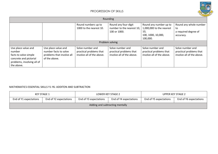

| Rounding                                                                                                                     |                                                                                            |                                                                          |                                                                          |                                                                                             |                                                                          |  |  |  |
|------------------------------------------------------------------------------------------------------------------------------|--------------------------------------------------------------------------------------------|--------------------------------------------------------------------------|--------------------------------------------------------------------------|---------------------------------------------------------------------------------------------|--------------------------------------------------------------------------|--|--|--|
|                                                                                                                              |                                                                                            | Round numbers up to<br>1000 to the nearest 10.                           | Round any four-digit<br>number to the nearest 10,<br>100 or 1000.        | Round any number up to<br>1,000,000 to the nearest<br>10,<br>100, 1000, 10,000,<br>100,000. | Round any whole number<br>to<br>a required degree of<br>accuracy.        |  |  |  |
|                                                                                                                              |                                                                                            |                                                                          | Problem solving                                                          |                                                                                             |                                                                          |  |  |  |
| Use place value and<br>number<br>facts to solve simple<br>concrete and pictorial<br>problems, involving all of<br>the above. | Use place value and<br>number facts to solve<br>problems that involve all<br>of the above. | Solve number and<br>practical problems that<br>involve all of the above. | Solve number and<br>practical problems that<br>involve all of the above. | Solve number and<br>practical problems that<br>involve all of the above.                    | Solve number and<br>practical problems that<br>involve all of the above. |  |  |  |

#### MATHEMATICS ESSENTIAL SKILLS Y1-Y6: ADDITON AND SUBTRACTION

|                                 | KEY STAGE 1            | LOWER KEY STAGE 2                                |  |                        | UPPER KEY STAGE 2      |  |
|---------------------------------|------------------------|--------------------------------------------------|--|------------------------|------------------------|--|
| End of Y1 expectations          | End of Y2 expectations | End of Y4 expectations<br>End of Y3 expectations |  | End of Y5 expectations | End of Y6 expectations |  |
| Adding and subtracting mentally |                        |                                                  |  |                        |                        |  |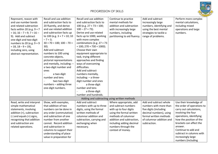

| Represent, reason with<br>and use number bonds<br>and related subtraction<br>facts within 20 (e.g. $9 + 7$<br>$= 16$ ; $16 - 7 = 9$ ; $7 = 16 -$<br>9). Add and subtract<br>one-digit and two-digit<br>numbers to 20 (e.g. $9 + 9$<br>$= 18, 18 - 9 = 19$ ,<br>including zero, using<br>abstract representation. | Recall and use addition<br>and subtraction facts to<br>20 fluently, and derive<br>and use related addition<br>and subtraction facts up<br>to 100 (e.g. $3 + 7 = 10$ ; 10<br>$-7 = 3$ ;<br>$30 + 70 = 100$ ; $100 - 70 =$<br>$30$ ).<br>Add and subtract<br>numbers to 100 using<br>concrete objects,<br>pictorial representations<br>and mentally, including: -<br>a two-digit number and<br>ones<br>a two-digit<br>number and tens<br>two two-digit<br>numbers - adding three<br>one-digit numbers. | Recall and use addition<br>and subtraction facts to<br>100 (e.g. $27 + 73 = 100$ ;<br>$100 - 27 = 73$ ).<br>Derive and use related<br>facts up to 1000, working<br>with more complex<br>combinations (e.g. $27 + 73$<br>$= 100$ ; 270 + 730 = 1000).<br>Choose their own<br>equipment appropriate to<br>task, trying different<br>approaches and finding<br>ways of overcoming<br>difficulties.<br>Add and subtract<br>numbers mentally,<br>including: - a three-<br>digit number and ones<br>a three-digit<br>number and tens<br>a three-digit<br>number and hundreds. | Continue to practice<br>mental methods for<br>addition and subtraction<br>with increasingly large<br>numbers, including<br>partitioning to aid fluency.                                                                          | Add and subtract<br>increasingly large<br>numbers, identifying and<br>using the best mental<br>strategies to tackle a<br>range of problems.                                 | Perform more complex<br>mental calculations,<br>including mixed<br>operations and large<br>numbers.                                                                                                                                                                                              |
|------------------------------------------------------------------------------------------------------------------------------------------------------------------------------------------------------------------------------------------------------------------------------------------------------------------|------------------------------------------------------------------------------------------------------------------------------------------------------------------------------------------------------------------------------------------------------------------------------------------------------------------------------------------------------------------------------------------------------------------------------------------------------------------------------------------------------|-------------------------------------------------------------------------------------------------------------------------------------------------------------------------------------------------------------------------------------------------------------------------------------------------------------------------------------------------------------------------------------------------------------------------------------------------------------------------------------------------------------------------------------------------------------------------|----------------------------------------------------------------------------------------------------------------------------------------------------------------------------------------------------------------------------------|-----------------------------------------------------------------------------------------------------------------------------------------------------------------------------|--------------------------------------------------------------------------------------------------------------------------------------------------------------------------------------------------------------------------------------------------------------------------------------------------|
|                                                                                                                                                                                                                                                                                                                  |                                                                                                                                                                                                                                                                                                                                                                                                                                                                                                      |                                                                                                                                                                                                                                                                                                                                                                                                                                                                                                                                                                         | Adding and subtracting using written methods                                                                                                                                                                                     |                                                                                                                                                                             |                                                                                                                                                                                                                                                                                                  |
| Read, write and interpret<br>simple mathematical<br>statements, involving<br>addition (+), subtraction<br>$(-)$ and equals $(=)$ signs,<br>recognising that addition<br>and subtraction are<br>related operations.                                                                                               | Show, with examples,<br>that addition of two<br>numbers can be done in<br>any order (commutative)<br>and subtraction of one<br>number from another<br>cannot. Record addition<br>and subtraction in<br>columns to support their<br>understanding of place<br>value in preparation for                                                                                                                                                                                                                | Add and subtract<br>numbers with up to three<br>digits, using the formal<br>written methods of<br>columnar addition and<br>subtraction, carrying and<br>exchanging when<br>necessary.                                                                                                                                                                                                                                                                                                                                                                                   | Where appropriate, add<br>and subtract numbers<br>with up to four digits<br>using the formal written<br>methods of columnar<br>addition and subtraction,<br>including adding decimal<br>numbers through the<br>context of money. | Add and subtract whole<br>numbers with more than<br>five digits (including<br>decimal numbers), using<br>formal written methods<br>of columnar addition and<br>subtraction. | Use their knowledge of<br>the order of operations to<br>carry out calculations,<br>involving the four<br>operations, identifying<br>how the position of the<br>brackets can affect the<br>answer.<br>Continue to add and<br>subtract in columns with<br>increasingly large<br>numbers (including |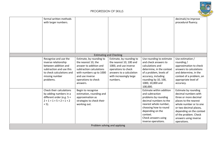

|         | formal written methods<br>with larger numbers.                                                                                                                |                                                                                                                                                                                        |                                                                                                                                                                        |                                                                                                                                                                                                                               | decimals) to improve<br>procedural fluency.                                                                                                                                                                                                     |
|---------|---------------------------------------------------------------------------------------------------------------------------------------------------------------|----------------------------------------------------------------------------------------------------------------------------------------------------------------------------------------|------------------------------------------------------------------------------------------------------------------------------------------------------------------------|-------------------------------------------------------------------------------------------------------------------------------------------------------------------------------------------------------------------------------|-------------------------------------------------------------------------------------------------------------------------------------------------------------------------------------------------------------------------------------------------|
|         |                                                                                                                                                               | <b>Estimating and Checking</b>                                                                                                                                                         |                                                                                                                                                                        |                                                                                                                                                                                                                               |                                                                                                                                                                                                                                                 |
|         | Recognise and use the<br>inverse relationship<br>between addition and<br>subtraction and use this<br>to check calculations and<br>missing number<br>problems. | Estimate, by rounding to<br>the nearest 10, the<br>answer to addition and<br>subtraction calculations<br>with numbers up to 1000<br>and use inverse<br>operations to check<br>answers. | Estimate, by rounding to<br>the nearest 10, 100 and<br>1000, and use inverse<br>operations to check<br>answers to a calculation<br>with increasingly large<br>numbers. | Use rounding to estimate<br>and check answers to<br>calculations and<br>determine, in the context<br>of a problem, levels of<br>accuracy, including<br>rounding by 10, 100,<br>1000, 10,000 and<br>100,000.                   | Use estimation /<br>rounding /<br>approximation to check<br>answers to calculations<br>and determine, in the<br>context of a problem, an<br>appropriate level of<br>accuracy.                                                                   |
| $+5$ ). | Check their calculations<br>by adding numbers in a<br>different order (e.g. 5 +<br>$2 + 1 = 1 + 5 + 2 = 1 + 2$                                                | Begin to recognise<br>estimation, rounding and<br>approximation as<br>strategies to check their<br>working out.                                                                        |                                                                                                                                                                        | Estimate within addition<br>and subtraction<br>problems by rounding<br>decimal numbers to the<br>nearest whole number,<br>choosing how to round<br>depending on the<br>context.<br>Check answers using<br>inverse operations. | Estimate by rounding<br>decimal numbers with<br>three or more decimal<br>places to the nearest<br>whole number or to one<br>or two decimal places,<br>depending on the context<br>of the problem. Check<br>answers using inverse<br>operations. |
|         |                                                                                                                                                               | Problem solving and applying                                                                                                                                                           |                                                                                                                                                                        |                                                                                                                                                                                                                               |                                                                                                                                                                                                                                                 |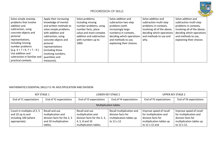

| Solve simple onestep           | Apply their increasing | Solve problems,          | Solve addition and        | Solve addition and          | Solve addition and          |
|--------------------------------|------------------------|--------------------------|---------------------------|-----------------------------|-----------------------------|
| problems that involve          | knowledge of mental    | including missing        | subtraction two-step      | subtraction multi-step      | subtraction multi-step      |
| addition and                   | and written methods to | number problems, using   | problems (with            | problems in contexts,       | problems in contexts,       |
| subtraction, using             | solve simple problems  | number facts, place      | increasingly large        | involving all of the above, | involving all of the above, |
| concrete objects and           | with addition and      | value and more complex   | numbers) in contexts,     | deciding which operations   | deciding which operations   |
| pictorial                      | subtraction, using     | addition and subtraction | deciding which operations | and methods to use and      | and methods to use,         |
| representations,               | concrete objects and   | with numbers up to       | and methods to use,       | why.                        | explaining their choices    |
| including missing              | pictorial              | 1000.                    | explaining their choices. |                             |                             |
| number problems                | representations        |                          |                           |                             |                             |
| $(e.g. 4 + ? = 9, 7 = ? - 9).$ | (including those)      |                          |                           |                             |                             |
| Use addition and               | involving numbers,     |                          |                           |                             |                             |
| subtraction in familiar and    | quantities and         |                          |                           |                             |                             |
| practical contexts.            | measures).             |                          |                           |                             |                             |

#### MATHEMATICS ESSENTIAL SKILLS Y1-Y6: MULTIPLICATION AND DIVISION

| <b>KEY STAGE 1</b>                                                                      |                                                                                                         |                                                                                                                  | LOWER KEY STAGE 2                                                                          |                                                                                                                       | <b>UPPER KEY STAGE 2</b>                                                                                           |  |  |
|-----------------------------------------------------------------------------------------|---------------------------------------------------------------------------------------------------------|------------------------------------------------------------------------------------------------------------------|--------------------------------------------------------------------------------------------|-----------------------------------------------------------------------------------------------------------------------|--------------------------------------------------------------------------------------------------------------------|--|--|
| End of Y1 expectations                                                                  | End of Y2 expectations                                                                                  | End of Y3 expectations                                                                                           | End of Y4 expectations                                                                     | End of Y5 expectations                                                                                                | End of Y6 expectations                                                                                             |  |  |
| <b>Multiplication tables</b>                                                            |                                                                                                         |                                                                                                                  |                                                                                            |                                                                                                                       |                                                                                                                    |  |  |
| Count in multiples of 2, 5<br>and 10 up to and<br>including 100 (where<br>appropriate). | Recall and use<br>multiplication and<br>division facts for the 2, 5<br>and 10 multiplication<br>tables, | Recall and use<br>multiplication and<br>division facts for the 2, 3,<br>4, 5, 8 and 10<br>multiplication tables. | Recall multiplication and<br>division facts for<br>multiplication tables up<br>to 12 x 12. | Improve speed of recall<br>for multiplication and<br>division facts for<br>multiplication tables up<br>to 12 x 12 and | Improve speed of recall<br>for multiplication and<br>division facts for<br>multiplication tables up<br>to 12 x 12. |  |  |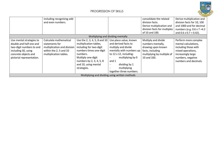

|                                                                                                                                                             | including recognising odd<br>and even numbers.                                                                              |                                                                                                                                                                                                                   |                                                                                                                                                                                                                                                              | consolidate the related<br>division facts.<br>Derive multiplication and<br>division facts for multiples<br>of 10 and 100.       | Derive multiplication and<br>division facts for 10, 100<br>and 1000 and for decimal<br>numbers (e.g. $0.6 \times 7 = 4.2$ )<br>and $0.6 \times 0.7 = 0.42$ ). |
|-------------------------------------------------------------------------------------------------------------------------------------------------------------|-----------------------------------------------------------------------------------------------------------------------------|-------------------------------------------------------------------------------------------------------------------------------------------------------------------------------------------------------------------|--------------------------------------------------------------------------------------------------------------------------------------------------------------------------------------------------------------------------------------------------------------|---------------------------------------------------------------------------------------------------------------------------------|---------------------------------------------------------------------------------------------------------------------------------------------------------------|
|                                                                                                                                                             |                                                                                                                             |                                                                                                                                                                                                                   | Multiplying and dividing mentally                                                                                                                                                                                                                            |                                                                                                                                 |                                                                                                                                                               |
| Use mental strategies to<br>double and half one and<br>two-digit numbers to and<br>including 50, using<br>concrete objects and<br>pictorial representation. | Calculate mathematical<br>statements for<br>multiplication and division<br>within the 2, 5 and 10<br>multiplication tables. | Use the 2, 3, 4, 5, 8 and 10<br>multiplication tables,<br>including for two-digit<br>numbers times one-digit<br>numbers.<br>Multiply one-digit<br>numbers by 2, 3, 4, 5, 8<br>and 10, using mental<br>strategies. | Use place value, known<br>and derived facts to<br>multiply and divide<br>mentally with numbers up<br>to $12 \times 12$ , including:<br>multiplying by 0<br>and 1<br>dividing by 1<br>$\overline{\phantom{m}}$<br>multiplying<br>-<br>together three numbers. | Multiply and divide<br>numbers mentally,<br>drawing upon known<br>facts, including<br>multiplying by multiple of<br>10 and 100. | Perform more complex<br>mental calculations,<br>including those with<br>mixed operations,<br>increasingly large<br>numbers, negative<br>numbers and decimals. |
|                                                                                                                                                             |                                                                                                                             |                                                                                                                                                                                                                   | Multiplying and dividing using written methods                                                                                                                                                                                                               |                                                                                                                                 |                                                                                                                                                               |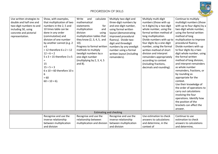

| Use written strategies to<br>double and half one and<br>two-digit numbers to and<br>including 50, using<br>concrete and pictorial<br>representation. | Show, with examples,<br>that multiplication of two<br>numbers in the 2, 5 and<br>10 times table can be<br>done in any order<br>(commutative) and<br>division of one number<br>by another cannot (e.g. 2<br>$x_6$<br>$= 12$ therefore 6 x 2 = 12<br>$12 \div 6 = 2$<br>$5 \times 3 = 15$ therefore $3 \times 5$<br>$=$<br>15<br>$15 \div 5 = 3$<br>$6 \times 10 = 60$ therefore 10 x<br>6<br>$= 60$<br>$60 \div 10 = 6$ ). | Write<br>and<br>calculate<br>mathematical<br>statements<br>for<br>multiplication<br>and<br>division<br>using<br>multiplication tables that<br>they know (2, 3, 4, 5, and<br>$10$ ).<br>Progress to formal written<br>methods to multiply<br>twodigit numbers by a<br>one-digit number<br>(multiplying by 2, 3, 4, 5<br>and $8$ ). | Multiply two-digit and<br>three-digit numbers by<br>and one-digit number,<br>using formal written<br>layout (demonstrating<br>improved procedural<br>fluency). Divide two-<br>digit and threedigit<br>numbers by any onedigit<br>number using a formal<br>written layout (including<br>remainders). | Multiply multi-digit<br>numbers (those with up<br>to 4 digits) by a two digit<br>whole number, using the<br>formal written method of<br>long multiplication.<br>Divide numbers with up to<br>four digits by a one-digit<br>number, using the formal<br>written method of short<br>division and interpret<br>remainders appropriately<br>according to context<br>(including fractions,<br>decimals and rounding). | Continue to multiply<br>multidigit numbers (those<br>with up to four digits) by a<br>two-digit whole number,<br>using the formal written<br>method of long<br>multiplication to improve<br>procedural fluency.<br>Divide numbers with up<br>to four digits by a two-<br>digit whole number, using<br>the formal written<br>method of long division,<br>and interpret remainders<br>as whole number<br>remainders, fractions, or<br>by rounding as<br>appropriate for the<br>context.<br>Use their knowledge of<br>the order of operations to<br>carry out calculations<br>involving the four<br>operations. Identify how<br>the position of the<br>brackets can affect the<br>answer. |
|------------------------------------------------------------------------------------------------------------------------------------------------------|---------------------------------------------------------------------------------------------------------------------------------------------------------------------------------------------------------------------------------------------------------------------------------------------------------------------------------------------------------------------------------------------------------------------------|-----------------------------------------------------------------------------------------------------------------------------------------------------------------------------------------------------------------------------------------------------------------------------------------------------------------------------------|-----------------------------------------------------------------------------------------------------------------------------------------------------------------------------------------------------------------------------------------------------------------------------------------------------|------------------------------------------------------------------------------------------------------------------------------------------------------------------------------------------------------------------------------------------------------------------------------------------------------------------------------------------------------------------------------------------------------------------|---------------------------------------------------------------------------------------------------------------------------------------------------------------------------------------------------------------------------------------------------------------------------------------------------------------------------------------------------------------------------------------------------------------------------------------------------------------------------------------------------------------------------------------------------------------------------------------------------------------------------------------------------------------------------------------|
|                                                                                                                                                      |                                                                                                                                                                                                                                                                                                                                                                                                                           | <b>Estimating and checking</b>                                                                                                                                                                                                                                                                                                    |                                                                                                                                                                                                                                                                                                     |                                                                                                                                                                                                                                                                                                                                                                                                                  |                                                                                                                                                                                                                                                                                                                                                                                                                                                                                                                                                                                                                                                                                       |
|                                                                                                                                                      | Recognise and use the<br>inverse relationship<br>between multiplication<br>and division                                                                                                                                                                                                                                                                                                                                   | Recognise and use the<br>relationship between<br>multiplication and division                                                                                                                                                                                                                                                      | Recognise and use the<br>inverse relationship<br>between multiplication<br>and division                                                                                                                                                                                                             | Use estimation to check<br>answers to calculations<br>and determine, in the<br>context of                                                                                                                                                                                                                                                                                                                        | Continue to use<br>estimation to check<br>answers to calculations<br>and determine,                                                                                                                                                                                                                                                                                                                                                                                                                                                                                                                                                                                                   |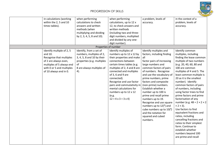

| in calculations (working<br>within the 2, 5 and 10<br>times tables).                                                                                                          | when performing<br>calculations to check<br>answers and written<br>methods (when<br>multiplying and dividing<br>by 2, 3, 4, 5, 8 and 10).                 | when performing<br>calculations, up to 12 x<br>12, to check answers and<br>written methods<br>(including two and three-<br>digit numbers, multiplied<br>and divided by any one-<br>digit number).                                                                                                                                                                                          | a problem, levels of<br>accuracy.                                                                                                                                                                                                                                                                                                                                                                                                                                                                                       | in the context of a<br>problem, levels of<br>accuracy.                                                                                                                                                                                                                                                                                                                                                                                                                                                                                                                                                                                                                                      |
|-------------------------------------------------------------------------------------------------------------------------------------------------------------------------------|-----------------------------------------------------------------------------------------------------------------------------------------------------------|--------------------------------------------------------------------------------------------------------------------------------------------------------------------------------------------------------------------------------------------------------------------------------------------------------------------------------------------------------------------------------------------|-------------------------------------------------------------------------------------------------------------------------------------------------------------------------------------------------------------------------------------------------------------------------------------------------------------------------------------------------------------------------------------------------------------------------------------------------------------------------------------------------------------------------|---------------------------------------------------------------------------------------------------------------------------------------------------------------------------------------------------------------------------------------------------------------------------------------------------------------------------------------------------------------------------------------------------------------------------------------------------------------------------------------------------------------------------------------------------------------------------------------------------------------------------------------------------------------------------------------------|
|                                                                                                                                                                               | Properties of number                                                                                                                                      |                                                                                                                                                                                                                                                                                                                                                                                            |                                                                                                                                                                                                                                                                                                                                                                                                                                                                                                                         |                                                                                                                                                                                                                                                                                                                                                                                                                                                                                                                                                                                                                                                                                             |
| Identify multiple of 2, 5<br>and 10.<br>Recognise that multiples<br>of 2 are always even,<br>multiples of 5 always end<br>with 0 or 5 and multiples<br>of 10 always end in 0. | Identify, from a set of<br>numbers, multiples of 2,<br>3, 4, 5, 8 and 10 by their<br>properties (e.g. multiples<br>of<br>8 are always multiples of<br>4). | Identify multiples of<br>numbers up to 12 x 12 by<br>their properties and make<br>connections between<br>certain times tables (e.g.<br>multiples of 2, 4 and 8 are<br>connected and multiples<br>of 3, 6 and 9 are<br>connected).<br>Recognise and use factor<br>pairs and commutativity in<br>mental calculations for<br>numbers up to 12 x 12<br>(e.g.<br>$12 = 4 \times 3 = 3 \times 4$ | Identify multiples and<br>factors, including finding<br>all<br>factor pairs of increasing<br>large numbers and<br>common factors of pairs<br>of numbers. Recognise<br>and use the vocabulary of<br>prime numbers, prime<br>factors and composite<br>(non-prime) numbers.<br>Establish whether a<br>number up to 100 is<br>prime and recall prime<br>numbers up to 19.<br>Recognise and use square<br>numbers up to $12(^2)$ and<br>cube numbers up to $10(^3)$<br>and the notation for<br>squared and cubed<br>numbers. | Identify common<br>multiples, including<br>finding the lease common<br>multiple of two numbers<br>(e.g. 20, 40, 60, 80 and<br>100 are common<br>multiples of 4 and 5. The<br>least common multiple is<br>20 as it is the smallest<br>number). Identify<br>common factors of pairs<br>of numbers, including<br>using factor trees to find<br>prime factors and prime<br>factorisation of any<br>number (e.g. $48 = 2 \times 2 \times 2$ )<br>$\times$ 2 $\times$ 3).<br>Use factors to find<br>equivalent fractions and<br>ratios, including<br>cancelling fractions and<br>ratios to their simplest<br>form. Continue to<br>establish whether<br>numbers beyond 100<br>are prime and recall |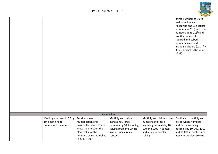

|                           |                            |                          |                           | prime numbers to 30 to<br>maintain fluency.<br>Recognise and use square<br>numbers to $20(^2)$ and cube<br>numbers up to $20(^3)$ and<br>use the notation for<br>squared and cubed<br>numbers in context,<br>including algebra (e.g. $n^2$ +<br>$30 = 79$ , what is the value<br>of $n$ ?). |
|---------------------------|----------------------------|--------------------------|---------------------------|---------------------------------------------------------------------------------------------------------------------------------------------------------------------------------------------------------------------------------------------------------------------------------------------|
|                           |                            | <b>Place Value</b>       |                           |                                                                                                                                                                                                                                                                                             |
| Multiply numbers to 20 by | Recall and use             | Multiply and divide      | Multiply and divide whole | Continue to multiply and                                                                                                                                                                                                                                                                    |
| 10, beginning to          | multiplication and         | increasingly large       | numbers and those         | divide whole numbers                                                                                                                                                                                                                                                                        |
| understand the effect.    | division facts for x10 and | numbers by 10, including | involving decimals by 10, | and those involving                                                                                                                                                                                                                                                                         |
|                           | know the effect on the     | solving problems which   | 100 and 1000 in context   | decimals by 10, 100, 1000                                                                                                                                                                                                                                                                   |
|                           | place value of the         | involve measures in      | and apply to problem      | and 10,000 in context and                                                                                                                                                                                                                                                                   |
|                           | numbers being multiplied   | context.                 | solving.                  | apply to problem solving.                                                                                                                                                                                                                                                                   |
|                           | (e.g. $45 \times 10 =$     |                          |                           |                                                                                                                                                                                                                                                                                             |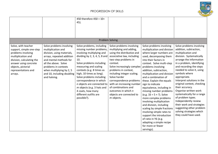

|                                                                                                                                                                                                           |                                                                                                                                                                                                                                                               | 450 therefore 450 ÷ 10=<br>45).                                                                                                                                                                                                                                                                                                                                                                                              |                                                                                                                                                                                                                                                                                                                                                                                                           |                                                                                                                                                                                                                                                                                                                                                                                                                                                                                                                                                                                                                                                                                        |                                                                                                                                                                                                                                                                                                                                                                                                                                                                                                                                                        |
|-----------------------------------------------------------------------------------------------------------------------------------------------------------------------------------------------------------|---------------------------------------------------------------------------------------------------------------------------------------------------------------------------------------------------------------------------------------------------------------|------------------------------------------------------------------------------------------------------------------------------------------------------------------------------------------------------------------------------------------------------------------------------------------------------------------------------------------------------------------------------------------------------------------------------|-----------------------------------------------------------------------------------------------------------------------------------------------------------------------------------------------------------------------------------------------------------------------------------------------------------------------------------------------------------------------------------------------------------|----------------------------------------------------------------------------------------------------------------------------------------------------------------------------------------------------------------------------------------------------------------------------------------------------------------------------------------------------------------------------------------------------------------------------------------------------------------------------------------------------------------------------------------------------------------------------------------------------------------------------------------------------------------------------------------|--------------------------------------------------------------------------------------------------------------------------------------------------------------------------------------------------------------------------------------------------------------------------------------------------------------------------------------------------------------------------------------------------------------------------------------------------------------------------------------------------------------------------------------------------------|
|                                                                                                                                                                                                           |                                                                                                                                                                                                                                                               |                                                                                                                                                                                                                                                                                                                                                                                                                              | <b>Problem Solving</b>                                                                                                                                                                                                                                                                                                                                                                                    |                                                                                                                                                                                                                                                                                                                                                                                                                                                                                                                                                                                                                                                                                        |                                                                                                                                                                                                                                                                                                                                                                                                                                                                                                                                                        |
| Solve, with teacher<br>support, simple one-step<br>problems involving<br>multiplication and<br>division, calculating the<br>answer using concrete<br>objects, pictorial<br>representations and<br>arrays. | Solve problems involving<br>multiplication and<br>division, using materials,<br>arrays, repeated addition<br>and mental methods for<br>all the above. Solve<br>problems in contexts<br>when multiplying by 2, 5<br>and 10, including doubling<br>and halving. | Solve problems, including<br>missing number problems,<br>involving multiplying and<br>dividing by $2, 3, 4, 5, 8$ and<br>10.<br>Solve problems including<br>measuring and scaling<br>contexts (e.g. 8 times as<br>high, 10 times as long).<br>Solve problems including<br>correspondence in which<br>n objects are connected to<br>$m$ objects (e.g. 3 hats and<br>4 coats, how many<br>different outfits are<br>possible?). | Solve problems involving<br>multiplying and adding,<br>using the distributive and<br>associative law, including<br>two-step problems in<br>context.<br>Solve increasingly complex<br>problems in context,<br>including integer scaling.<br>Solve harder<br>correspondence problems<br>with an increasing number<br>of combinations and<br>outcomes in which n<br>objects are connected to<br>$m$ objects. | Solve problems involving<br>multiplication and division<br>where larger numbers are<br>used, decomposing them<br>into their factors in<br>context. Solve multi-step<br>problems involving<br>addition, subtraction,<br>multiplication and division<br>and a combination of<br>these. Explain the equals<br>sign to indicate<br>equivalence, including in<br>missing number problems<br>(e.g. $33 = 5 \times ?$ ). Solve<br>more complex problems<br>involving multiplication<br>and division, including<br>scaling by simple fractions<br>involving simple rates to<br>support the introduction<br>of ratio in Y6 (e.g.<br>adapting a simple recipe<br>for more or fewer<br>servings). | Solve problems involving<br>addition, subtraction,<br>multiplication and<br>division. Systematically<br>arrange the information<br>in a problem, identifying<br>and recording the steps<br>needed to solve it, using<br>symbols where<br>appropriate.<br>Interpret solutions in the<br>original context, checking<br>their accuracy.<br>Organise written work<br>systematically for a range<br>of problem types.<br>Independently review<br>their work and strategies<br>suggesting other problem<br>solving strategies which<br>they could have used. |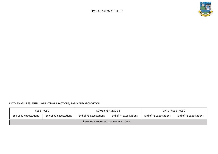

#### MATHEMATICS ESSENTIAL SKILLS Y1-Y6: FRACTIONS, RATIO AND PROPORTION

| KEY STAGE 1                             |                        | LOWER KEY STAGE 2      |                        | <b>UPPER KEY STAGE 2</b> |                        |
|-----------------------------------------|------------------------|------------------------|------------------------|--------------------------|------------------------|
| End of Y1 expectations                  | End of Y2 expectations | End of Y3 expectations | End of Y4 expectations | End of Y5 expectations   | End of Y6 expectations |
| Recognise, represent and name fractions |                        |                        |                        |                          |                        |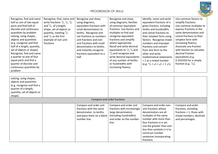

| Recognise, find and name    | Recognise, find, name and                                     | Recognise and show,       | Recognise and show,                              | Identify, name and write         | Use common factors to           |
|-----------------------------|---------------------------------------------------------------|---------------------------|--------------------------------------------------|----------------------------------|---------------------------------|
| half as one of two equal    | write fractions $\frac{1}{3}$ , $\frac{1}{4}$ , $\frac{2}{4}$ | using diagrams,           | using diagrams, families                         | equivalent fractions of a        | simplify fractions.             |
| parts and find half of      | and $\frac{3}{4}$ of a length,                                | equivalent fractions with | of common equivalent                             | given fraction, including        | Use common multiples to         |
| discrete and continuous     | shape, set of objects or                                      | small denominators to     | fractions. Use factors and                       | tenths and hundredths            | express fractions in the        |
| quantities by problem       | quantity, meeting $\frac{2}{4}$                               | tenths. Recognise and     | multiples to find and                            | and cancel fractions to          | same denomination and           |
| solving, using shapes,      | and $\frac{3}{4}$ as the first                                | use fractions as numbers: | recognise equivalent                             | their simplest form using        | cancel fractions to their       |
| objects and quantities      | example of non-unit                                           | unit fractions and non-   | fractions and simplify                           | factors. Recognise mixed         | simplest form with              |
| (e.g. recognise and find    | fractions.                                                    | unit fractions with small | where appropriate.                               | numbers and improper             | increasing fluency.             |
| half of a length, quantity, |                                                               | denominators to tenths,   | Recall and write decimal                         | fractions and convert            | Associate any fraction          |
| set of objects or shape).   |                                                               | and instantly recognise   | equivalents to $\frac{1}{2}$ , $\frac{1}{4}$ and | from one form to the             | with division to calculate      |
| Recognise, find and name    |                                                               | fractions equivalent to a | $\frac{3}{4}$ and recognise and                  | other and write                  | decimal fraction                |
| a quarter as one of four    |                                                               | half.                     | write decimal equivalents                        | mathematical statements          | equivalents (e.g.               |
| equal parts and find a      |                                                               |                           | of any number of tenths                          | > 1 as a mixed number            | 0.333333) for a simple          |
| quarter of discrete and     |                                                               |                           | or hundredths with                               | $(e.g. 2/5 + 4/5 = 6/5 = 11/5).$ | fraction (e.g. $\frac{1}{3}$ ). |
| continuous quantities by    |                                                               |                           | increasing fluency.                              |                                  |                                 |
| problem                     |                                                               |                           |                                                  |                                  |                                 |
|                             |                                                               |                           |                                                  |                                  |                                 |
| solving, using shapes,      |                                                               |                           |                                                  |                                  |                                 |

| solving, using shapes,<br>objects and quantities<br>(e.g. recognise and find a<br>quarter of a length,<br>quantity, set of objects or<br>shape). |                                                                                                           |                                                                                                                                           |                                                                                                                                                                                                                                                                               |                                                                                                                          |
|--------------------------------------------------------------------------------------------------------------------------------------------------|-----------------------------------------------------------------------------------------------------------|-------------------------------------------------------------------------------------------------------------------------------------------|-------------------------------------------------------------------------------------------------------------------------------------------------------------------------------------------------------------------------------------------------------------------------------|--------------------------------------------------------------------------------------------------------------------------|
|                                                                                                                                                  | Compare and order fractions                                                                               |                                                                                                                                           |                                                                                                                                                                                                                                                                               |                                                                                                                          |
| number line.                                                                                                                                     | Compare and order unit<br>fractions with the same<br>denominator, to tenths,<br>and place them on a blank | Compare and order unit<br>fractions with increasingly<br>large denominators<br>(including hundredths)<br>and order on the number<br>line. | Compare and order non-<br>unit fractions whose<br>denominators are all<br>multiples of the same<br>number with more than<br>four fractions in a set.<br>Use the greater than and<br>less than symbols $(\le)$ to<br>construct number<br>sentences incorporating<br>fractions. | Compare and order<br>fractions, including<br>fractions $> 1$ , those with<br>mixed numbers, decimals<br>and percentages. |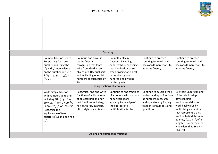

|                                                                                                                                                                                                                                                                                                 | Counting                                                                                                                                                                                    |                                                                                                                                                                                        |                                                                                                                                                        |                                                                                                                                                                                                                                                                                                                       |
|-------------------------------------------------------------------------------------------------------------------------------------------------------------------------------------------------------------------------------------------------------------------------------------------------|---------------------------------------------------------------------------------------------------------------------------------------------------------------------------------------------|----------------------------------------------------------------------------------------------------------------------------------------------------------------------------------------|--------------------------------------------------------------------------------------------------------------------------------------------------------|-----------------------------------------------------------------------------------------------------------------------------------------------------------------------------------------------------------------------------------------------------------------------------------------------------------------------|
| Count in fractions up to<br>10, starting from any<br>number and using the<br>$\frac{1}{2}$ and $\frac{2}{4}$ equivalence<br>on the number line (e.g.<br>$1^{1}/_{4}$ , $1^{2}/_{4}$ (or $1^{1}/_{2}$ ), 1<br>$^{3}/_{4}$ , 2).                                                                  | Count up and down in<br>tenths fluently,<br>recognising that tenths<br>arise from dividing an<br>object into 10 equal parts<br>and in dividing one-digit<br>numbers or quantities by<br>10. | Count fluently in<br>fractions, including<br>hundredths, recognising<br>that hundredths arise<br>when dividing an object<br>or number by one<br>hundred and dividing<br>tenths by ten. | Continue to practice<br>counting forwards and<br>backwards in fractions to<br>improve fluency.                                                         | Continue to practice<br>counting forwards and<br>backwards in fractions to<br>improve fluency.                                                                                                                                                                                                                        |
|                                                                                                                                                                                                                                                                                                 |                                                                                                                                                                                             | Finding fractions of amounts                                                                                                                                                           |                                                                                                                                                        |                                                                                                                                                                                                                                                                                                                       |
| Write simple fractions<br>with numbers up to and<br>including 100 (e.g. $\frac{1}{2}$ of<br>$30 = 15$ , $\frac{1}{2}$ of $40 = 20$ , $\frac{1}{2}$<br>of 50 = 25, $\frac{1}{2}$ of 100 = 50.<br>Recognise the<br>equivalence of two<br>quarters $\binom{2}{4}$ and one half<br>$\binom{1}{2}$ . | Recognise, find and write<br>fractions of a discrete set<br>of objects: unit and non-<br>unit fractions including;<br>halves, thirds, quarters,<br>fifths, eighths and tenths               | Continue to find fractions<br>of amounts, with unit and<br>nonunit fractions,<br>applying knowledge of<br>the appropriate<br>multiplication tables.                                    | Continue to develop their<br>understanding of fractions<br>as numbers, measures<br>and operators by finding<br>fractions of numbers and<br>quantities. | Use their understanding<br>of the relationship<br>between unit<br>fractions and division to<br>work backwards by<br>multiplying a quantity<br>that represents a unit<br>fraction to find the whole<br>quantity (e.g. if $\frac{1}{4}$ of a<br>length is 36 cm then the<br>whole length is $36 \times 4 =$<br>144 cm). |
|                                                                                                                                                                                                                                                                                                 |                                                                                                                                                                                             | Adding and subtracting fractions                                                                                                                                                       |                                                                                                                                                        |                                                                                                                                                                                                                                                                                                                       |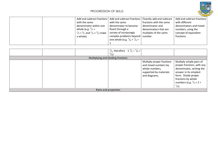

| Add and subtract fractions                                       | Add and subtract fractions   Fluently add and subtract |                         | Add and subtract fractions |
|------------------------------------------------------------------|--------------------------------------------------------|-------------------------|----------------------------|
| with the same                                                    | with the same                                          | fractions with the same | with different             |
| denominator within one                                           | denominator to become                                  | denominator and         | denominators and mixed     |
| whole (e.g. $\frac{5}{7}$ +                                      | fluent through a                                       | denominators that are   | numbers, using the         |
| $\frac{1}{7} = \frac{6}{7}$ and $\frac{1}{3} + \frac{2}{3}$ make | variety of increasingly                                | multiples of the same   | concept of equivalent      |
| a whole).                                                        | complex problems beyond                                | number.                 | fractions.                 |
|                                                                  | one whole (e.g. $\frac{5}{8} + \frac{7}{8} =$          |                         |                            |
|                                                                  |                                                        |                         |                            |

| $\frac{1}{2}$ , therefore $\frac{1}{2} - \frac{7}{8} =$<br>$^{5}/_{8}$ ). |                                                                                                                |                                                                                                                                                                                                                     |
|---------------------------------------------------------------------------|----------------------------------------------------------------------------------------------------------------|---------------------------------------------------------------------------------------------------------------------------------------------------------------------------------------------------------------------|
| Multiplying and dividing fractions                                        |                                                                                                                |                                                                                                                                                                                                                     |
|                                                                           | Multiply proper fractions<br>and mixed numbers by<br>whole numbers,<br>supported by materials<br>and diagrams. | Multiply simple pairs of<br>proper fractions, with any<br>denominator, writing the<br>answer in its simplest<br>form. Divide proper<br>fractions by whole<br>numbers (e.g. $\frac{1}{3} \div 2 =$<br>$^{1}/_{6}$ ). |
| Ratio and proportion                                                      |                                                                                                                |                                                                                                                                                                                                                     |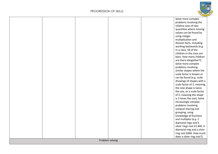

|  |  |                 |  | Solve more complex          |
|--|--|-----------------|--|-----------------------------|
|  |  |                 |  | problems involving the      |
|  |  |                 |  | relative sizes of two       |
|  |  |                 |  | quantities where missing    |
|  |  |                 |  | values can be found by      |
|  |  |                 |  | using integer               |
|  |  |                 |  | multiplication and          |
|  |  |                 |  | division facts, including   |
|  |  |                 |  | working backwards (e.g.     |
|  |  |                 |  | In a class, 18 of the       |
|  |  |                 |  | children in the class are   |
|  |  |                 |  | boys. How many children     |
|  |  |                 |  | are there altogether?).     |
|  |  |                 |  | Solve more complex          |
|  |  |                 |  | problems involving          |
|  |  |                 |  | similar shapes where the    |
|  |  |                 |  | scale factor is known or    |
|  |  |                 |  | can be found (e.g. scale    |
|  |  |                 |  |                             |
|  |  |                 |  | drawings of shapes with a   |
|  |  |                 |  | scale factor of 2, meaning  |
|  |  |                 |  | the new shape is twice      |
|  |  |                 |  | the size, or a scale factor |
|  |  |                 |  | of 3, meaning the shape     |
|  |  |                 |  | is 3 times the size). Solve |
|  |  |                 |  | increasingly complex        |
|  |  |                 |  | problems involving          |
|  |  |                 |  | unequal sharing and         |
|  |  |                 |  | grouping, using             |
|  |  |                 |  | knowledge of fractions      |
|  |  |                 |  | and multiples (e.g. 2       |
|  |  |                 |  | diamond rings and 4         |
|  |  |                 |  | silver rings cost £1,440. A |
|  |  |                 |  | diamond ring and a silver   |
|  |  |                 |  | ring cost £660. How much    |
|  |  |                 |  | does a silver ring cost?).  |
|  |  | Problem solving |  |                             |
|  |  |                 |  |                             |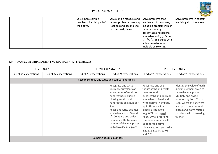

| Solve more complex<br>problems, involving all of<br>the above. | Solve simple measure and Solve problems that<br>money problems involving $ $ involve all of the above,<br>fractions and decimals to<br>two decimal places. | including problems which<br>require knowing<br>percentage and decimal<br>equivalents of $\frac{1}{2}$ , $\frac{1}{4}$ , $\frac{3}{4}$ ,<br>$\frac{1}{5}$ , $\frac{2}{5}$ , $\frac{4}{5}$ and those with<br>a denominator of a<br>multiple of 10 or 25. | Solve problems in context,<br>involving all of the above. |
|----------------------------------------------------------------|------------------------------------------------------------------------------------------------------------------------------------------------------------|--------------------------------------------------------------------------------------------------------------------------------------------------------------------------------------------------------------------------------------------------------|-----------------------------------------------------------|
|----------------------------------------------------------------|------------------------------------------------------------------------------------------------------------------------------------------------------------|--------------------------------------------------------------------------------------------------------------------------------------------------------------------------------------------------------------------------------------------------------|-----------------------------------------------------------|

#### MATHEMATICS ESSENTIAL SKILLS Y1-Y6: DECIMALS AND PERCENTAGES

| <b>KEY STAGE 1</b>     |                        | LOWER KEY STAGE 2                               |                                                                                                                                                                                                                                                                                                                                                                  | <b>UPPER KEY STAGE 2</b>                                                                                                                                                                                                                                                                                                                                                     |                                                                                                                                                                                                                                                             |
|------------------------|------------------------|-------------------------------------------------|------------------------------------------------------------------------------------------------------------------------------------------------------------------------------------------------------------------------------------------------------------------------------------------------------------------------------------------------------------------|------------------------------------------------------------------------------------------------------------------------------------------------------------------------------------------------------------------------------------------------------------------------------------------------------------------------------------------------------------------------------|-------------------------------------------------------------------------------------------------------------------------------------------------------------------------------------------------------------------------------------------------------------|
| End of Y1 expectations | End of Y2 expectations | End of Y3 expectations                          | End of Y4 expectations                                                                                                                                                                                                                                                                                                                                           | End of Y5 expectations                                                                                                                                                                                                                                                                                                                                                       | End of Y6 expectations                                                                                                                                                                                                                                      |
|                        |                        | Recognise, read and write and compare decimals. |                                                                                                                                                                                                                                                                                                                                                                  |                                                                                                                                                                                                                                                                                                                                                                              |                                                                                                                                                                                                                                                             |
|                        |                        |                                                 | Recognise and write<br>decimal equivalents of<br>any number of tenths or<br>hundredths, including<br>plotting tenths and<br>hundredths on a number<br>line.<br>Recall and write decimal<br>equivalents to $\frac{1}{2}$ , $\frac{1}{4}$ and<br>$\frac{3}{4}$ Compare and order<br>numbers with the same<br>number of decimal places<br>up to two decimal places. | Recognise and use<br>thousandths and relate<br>them to tenths,<br>hundredths and decimal<br>equivalents. Read and<br>write decimal numbers,<br>up to three decimal<br>places, as fractions<br>$(e.g. 0.771 = {771}_{1000}).$<br>Read, write, order and<br>compare numbers with<br>up to three decimal<br>places (e.g. can you order<br>2.321, 2.4, 2.34, 2.401<br>and 2.5?). | Identify the value of each<br>digit in numbers given to<br>three decimal places.<br>Multiply and divide<br>numbers by 10, 100 and<br>1000 where the answers<br>are up to three decimal<br>places and, solve related<br>problems with increasing<br>fluency. |
|                        |                        | Rounding decimal numbers                        |                                                                                                                                                                                                                                                                                                                                                                  |                                                                                                                                                                                                                                                                                                                                                                              |                                                                                                                                                                                                                                                             |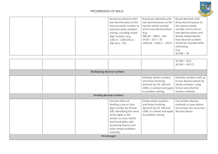

| Round any decimal with   | Round any decimals with      | Round decimals with     |
|--------------------------|------------------------------|-------------------------|
| one decimal place to the | two decimal places to the    | three decimal places to |
| nearest whole number to  | nearest whole number         | the nearest whole       |
| estimate when problem    | and to one decimal place     | number and to one or    |
| solving, including mixed | (e.g.                        | two decimal places and  |
| digit numbers (e.g.      | $380.64 - 380.6 - 381$       | decide independently    |
| $1345.4 - 1345345.6 -$   | $34.65 - 34.7 - 35$          | how decimal numbers     |
| $34634.6 - 35$ ).        | $1456.54 - 1456.5 - 1457$ ). | should be rounded when  |
|                          |                              | estimating              |
|                          |                              | (e.g.                   |
|                          |                              | $34.365 - 34$           |

|                                                                                                                                                                                                                                               |                                                                                                                               | $34.365 - 34.4$<br>$34.365 - 34.37$ ).                                                                                  |  |  |
|-----------------------------------------------------------------------------------------------------------------------------------------------------------------------------------------------------------------------------------------------|-------------------------------------------------------------------------------------------------------------------------------|-------------------------------------------------------------------------------------------------------------------------|--|--|
| Multiplying decimal numbers                                                                                                                                                                                                                   |                                                                                                                               |                                                                                                                         |  |  |
|                                                                                                                                                                                                                                               | Multiply whole numbers<br>and those involving<br>decimals by 10, 100 and<br>1000, in context and apply<br>to problem solving. | Multiply numbers with up<br>to two decimal places by<br>whole numbers, using<br>formal and informal<br>written methods. |  |  |
| Dividing decimal numbers                                                                                                                                                                                                                      |                                                                                                                               |                                                                                                                         |  |  |
| Find the effect of<br>dividing a one or two-<br>digit number by 10 and<br>100, identifying the value<br>of the digits in the<br>answer as ones, tenths<br>and hundredths with<br>increasing fluency and<br>solve simple problems<br>mentally. | Divide whole numbers<br>and those involving<br>decimals by 10, 100 and<br>1000, in context and apply<br>to problem solving.   | Use written division<br>methods in cases where<br>the answer has up to two<br>decimal places.                           |  |  |
| Percentages                                                                                                                                                                                                                                   |                                                                                                                               |                                                                                                                         |  |  |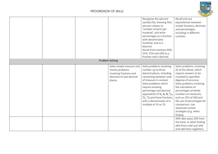

|  |                        |                                                                                                             | Recognise the percent<br>symbol (%), knowing that<br>percent relates to<br>'number of parts per<br>hundred', and write<br>percentages as a fraction<br>with denominator<br>hundred, and as a<br>decimal.<br>Recall from memory 50%,<br>25%, 75% and 10% as a<br>fraction and a decimal.                                                                                                           | Recall and use<br>equivalences between<br>simple fractions, decimals<br>and percentages,<br>including in different<br>contexts.                                                                                                                                                                                                                                   |
|--|------------------------|-------------------------------------------------------------------------------------------------------------|---------------------------------------------------------------------------------------------------------------------------------------------------------------------------------------------------------------------------------------------------------------------------------------------------------------------------------------------------------------------------------------------------|-------------------------------------------------------------------------------------------------------------------------------------------------------------------------------------------------------------------------------------------------------------------------------------------------------------------------------------------------------------------|
|  | <b>Problem Solving</b> |                                                                                                             |                                                                                                                                                                                                                                                                                                                                                                                                   |                                                                                                                                                                                                                                                                                                                                                                   |
|  |                        | Solve simple measure and<br>money problems<br>involving fractions and<br>decimals to two decimal<br>places. | Solve problems involving<br>number up to three<br>decimal places, including<br>converting between units<br>of measure in context.<br>Solve problems which<br>require knowing<br>percentage and decimal<br>equivalents of $\frac{1}{2}$ , $\frac{1}{4}$ , $\frac{3}{4}$ , $\frac{1}{5}$ ,<br>$\frac{2}{5}$ , $\frac{4}{5}$ and those fractions<br>with a denominator of a<br>multiple of 10 or 25. | Solve problems, involving<br>all of the above, which<br>require answers to be<br>rounded to specified<br>degrees of accuracy.<br>Solve problems involving<br>the calculation of<br>percentages of whole<br>numbers or measures,<br>such as 15% of 360 and<br>the use of percentages for<br>comparison. Use<br>advanced mental<br>strategies (e.g. when<br>finding |
|  |                        |                                                                                                             |                                                                                                                                                                                                                                                                                                                                                                                                   | 90% take away 10% from<br>the total, or when finding<br>60% find a half and 10%<br>and add them together).                                                                                                                                                                                                                                                        |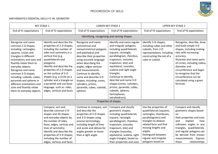

#### MATHEMATICS ESSENTIAL SKILLS Y1-Y6: GEOMETRY

| <b>KEY STAGE 1</b>                                                                                                                                                                                                                                                                                                                                                                              |                                                                                                                                                                                                                                                                                                                                                                                                              | <b>LOWER KEY STAGE 2</b>                                                                                                                                                                                                                                                                                                                                           |                                                                                                                                                                                                                                                                                                                                                                                                                          | <b>UPPER KEY STAGE 2</b>                                                                                                                                                                                                                                   |                                                                                                                                                                                                                                                                                                                      |
|-------------------------------------------------------------------------------------------------------------------------------------------------------------------------------------------------------------------------------------------------------------------------------------------------------------------------------------------------------------------------------------------------|--------------------------------------------------------------------------------------------------------------------------------------------------------------------------------------------------------------------------------------------------------------------------------------------------------------------------------------------------------------------------------------------------------------|--------------------------------------------------------------------------------------------------------------------------------------------------------------------------------------------------------------------------------------------------------------------------------------------------------------------------------------------------------------------|--------------------------------------------------------------------------------------------------------------------------------------------------------------------------------------------------------------------------------------------------------------------------------------------------------------------------------------------------------------------------------------------------------------------------|------------------------------------------------------------------------------------------------------------------------------------------------------------------------------------------------------------------------------------------------------------|----------------------------------------------------------------------------------------------------------------------------------------------------------------------------------------------------------------------------------------------------------------------------------------------------------------------|
| End of Y1 expectations                                                                                                                                                                                                                                                                                                                                                                          | End of Y2 expectations                                                                                                                                                                                                                                                                                                                                                                                       | End of Y3 expectations                                                                                                                                                                                                                                                                                                                                             | End of Y4 expectations                                                                                                                                                                                                                                                                                                                                                                                                   | End of Y5 expectations                                                                                                                                                                                                                                     | End of Y6 expectations                                                                                                                                                                                                                                                                                               |
|                                                                                                                                                                                                                                                                                                                                                                                                 |                                                                                                                                                                                                                                                                                                                                                                                                              | Identifying, recognising and naming shapes.                                                                                                                                                                                                                                                                                                                        |                                                                                                                                                                                                                                                                                                                                                                                                                          |                                                                                                                                                                                                                                                            |                                                                                                                                                                                                                                                                                                                      |
| Recognise and name<br>common 2-D shapes,<br>including: rectangles,<br>squares, circles and<br>triangles in different<br>orientations and sizes and<br>fluently relate them to<br>everyday objects.<br>Recognise and name<br>common 3-D shapes,<br>including: cuboids, cubes,<br>pyramids and spheres in<br>different orientations and<br>sizes and fluently relate<br>them to everyday objects. | Identify and describe the<br>properties of 2-D shapes,<br>including the number of<br>sides and symmetry in a<br>vertical line (e.g.<br>quadrilaterals and<br>polygons).<br>Identify and describe the<br>properties of 2-D shapes<br>on the surface of 3-D<br>shapes (e.g. a circle on a<br>cylinder and a triangle on<br>a pyramid) and use basic<br>language, such as: sides,<br>edges, vertices and faces. | Recognise and name<br>symmetrical and<br>nonsymmetrical polygons<br>and polyhedral and<br>describe their properties<br>using accurate language<br>when describing the<br>angles, edges vertices<br>and measurements.<br>Continue to identify,<br>name and describe 3-D<br>shapes, including: cones,<br>cylinders, prisms,<br>pyramids, cubes, cuboids,<br>spheres. | Identify and name regular<br>and irregular polygons,<br>including quadrilaterals<br>(square, rectangle,<br>parallelogram, rhombus,<br>trapezium, isosceles<br>trapezium, kite) and<br>equilateral, isosceles,<br>scalene and right angle<br>triangles.<br>Continue to identify,<br>describe and name 3-D<br>shapes (cones, cylinders,<br>prisms, pyramids, cubes,<br>cuboids, spheres,<br>hemispheres,<br>tetrahedrons). | Identify 3-D shapes,<br>including cubes and other<br>cuboids, from 2-D<br>representations, including<br>constructing the net of a<br>cube or cuboid.                                                                                                       | Recognise, describe, draw<br>and build simple 3-D<br>shapes, including making<br>nets with increasing<br>accuracy.<br>Illustrate and name parts<br>of circles, including radius,<br>diameter and<br>circumference and begin<br>to recognise that the<br>circumference can be<br>calculated using a given<br>formula. |
|                                                                                                                                                                                                                                                                                                                                                                                                 |                                                                                                                                                                                                                                                                                                                                                                                                              |                                                                                                                                                                                                                                                                                                                                                                    | Properties of shapes                                                                                                                                                                                                                                                                                                                                                                                                     |                                                                                                                                                                                                                                                            |                                                                                                                                                                                                                                                                                                                      |
|                                                                                                                                                                                                                                                                                                                                                                                                 | Compare, sort and<br>describe common 2-D<br>shapes and 3D shapes<br>and everyday objects by<br>the number of sides,<br>faces, edges, vertices and<br>lines of symmetry.<br>Identify and describe the<br>properties of 3-D shapes,<br>including the number of<br>edges, vertices and faces                                                                                                                    | Continue to compare, sort<br>and describe the<br>properties of 2-D shapes<br>and 3-D shapes using<br>precise terminology,<br>including length of lines<br>and acute and obtuse for<br>angles greater or lesser<br>than a right angle.                                                                                                                              | Compare and classify<br>geometric shapes,<br>including quadrilaterals<br>(square, rectangle,<br>parallelogram, rhombus,<br>trapezium, isosceles<br>trapezium, kite) and<br>triangles (isosceles,<br>equilateral, scalene, right<br>angle triangle), based on<br>their properties and sizes.                                                                                                                              | Use the properties of<br>quadrilaterals (squares,<br>rectangles, rhombuses,<br>parallelograms) and<br>triangles to deduce<br>related facts and find<br>missing lengths and<br>angles.<br>Distinguish between<br>regular and irregular<br>polygons based on | Compare and classify<br>geometric shapes based<br><sub>on</sub><br>their properties and sizes<br>explain<br>and<br>how<br>unknown angles in any<br>triangles, quadrilaterals,<br>and regular polygons can<br>be derived from known<br>measurements. Express<br>relationships<br>these                                |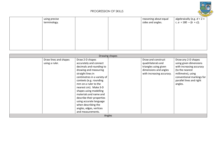

| using precise<br>terminology. |  | reasoning about equal<br>sides and angles. | algebraically (e.g. $d = 2 \times$<br>r, $a = 180 - (b + c)$ ). |
|-------------------------------|--|--------------------------------------------|-----------------------------------------------------------------|
|                               |  |                                            |                                                                 |
|                               |  |                                            |                                                                 |
|                               |  |                                            |                                                                 |

| Drawing shapes        |                             |                           |                           |  |  |  |
|-----------------------|-----------------------------|---------------------------|---------------------------|--|--|--|
| Draw lines and shapes | Draw 2-D shapes             | Draw and construct        | Draw any 2-D shapes       |  |  |  |
| using a ruler.        | accurately and connect      | quadrilaterals and        | using given dimensions    |  |  |  |
|                       | decimals and rounding to    | triangles using given     | with increasing accuracy  |  |  |  |
|                       | drawing and measuring       | dimensions and angles     | (to the nearest           |  |  |  |
|                       | straight lines in           | with increasing accuracy. | millimetre), using        |  |  |  |
|                       | centimetres in a variety of |                           | conventional markings for |  |  |  |
|                       | contexts (e.g. rounding     |                           | parallel lines and right  |  |  |  |
|                       | mm on a ruler to the        |                           | angles.                   |  |  |  |
|                       | nearest cm). Make 3-D       |                           |                           |  |  |  |
|                       | shapes using modelling      |                           |                           |  |  |  |
|                       | materials and name and      |                           |                           |  |  |  |
|                       | describe their properties   |                           |                           |  |  |  |
|                       | using accurate language     |                           |                           |  |  |  |
|                       | when describing the         |                           |                           |  |  |  |
|                       | angles, edges, vertices     |                           |                           |  |  |  |
|                       | and measurements.           |                           |                           |  |  |  |
|                       | Angles                      |                           |                           |  |  |  |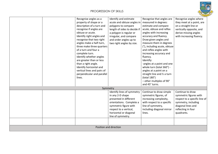

| Recognise angles as a<br>property of shape or a<br>description of a turn and<br>recognise if angles are                                                                                                                                                                                                                                                      | Identify and estimate<br>acute and obtuse angles in<br>polygons to compare<br>length of sides to decide if                                                                                             | Recognise that angles are<br>measured in degrees:<br>estimate and compare<br>acute, obtuse and reflex                                                                                                                                                                                                                                                            | Recognise angles where<br>they meet at a point, are<br>on a straight line or<br>vertically opposite, and                                                     |
|--------------------------------------------------------------------------------------------------------------------------------------------------------------------------------------------------------------------------------------------------------------------------------------------------------------------------------------------------------------|--------------------------------------------------------------------------------------------------------------------------------------------------------------------------------------------------------|------------------------------------------------------------------------------------------------------------------------------------------------------------------------------------------------------------------------------------------------------------------------------------------------------------------------------------------------------------------|--------------------------------------------------------------------------------------------------------------------------------------------------------------|
| obtuse or acute.<br>Identify right angles and<br>recognise that two right<br>angles make a half-turn,<br>three make three quarters<br>of a turn and four a<br>complete turn.<br>Identify whether angles<br>are greater than or less<br>than a right angle.<br>Identify horizontal and<br>vertical lines and pairs of<br>perpendicular and parallel<br>lines. | a polygon is regular or<br>irregular, and compare<br>and order angles up to<br>two right angles by size.                                                                                               | angles with increasing<br>accuracy and fluency.<br>Draw given angles and<br>measure them in degrees<br>(°), including acute, obtuse<br>and reflex angles with<br>increasing accuracy and<br>fluency.<br>Identify:<br>-angles at a point and one<br>whole turn (total 360°) -<br>angles at a point on a<br>straight line and $\frac{1}{2}$ a turn<br>(total 180°) | derive missing angles<br>with increasing fluency.                                                                                                            |
|                                                                                                                                                                                                                                                                                                                                                              |                                                                                                                                                                                                        | - other multiples of 90°<br>and 45° turns.                                                                                                                                                                                                                                                                                                                       |                                                                                                                                                              |
| Symmetry                                                                                                                                                                                                                                                                                                                                                     |                                                                                                                                                                                                        |                                                                                                                                                                                                                                                                                                                                                                  |                                                                                                                                                              |
|                                                                                                                                                                                                                                                                                                                                                              | Identify lines of symmetry<br>in any 2-D shape<br>presented in different<br>orientations. Complete a<br>symmetric figure with<br>respect to a vertical,<br>horizontal or diagonal<br>line of symmetry. | Continue to draw simple<br>symmetric figures, of<br>increasing complexity,<br>with respect to a specific<br>line of symmetry,<br>including diagonal mirror<br>lines.                                                                                                                                                                                             | Continue to draw<br>symmetric figures with<br>respect to a specific line of<br>symmetry, including<br>diagonal lines and<br>reflecting in four<br>quadrants. |
|                                                                                                                                                                                                                                                                                                                                                              | Position and direction                                                                                                                                                                                 |                                                                                                                                                                                                                                                                                                                                                                  |                                                                                                                                                              |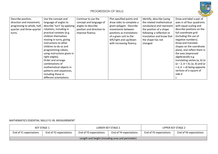

| Describe position,          | Use the concept and         | Continue to use the       | Plot specified points and | Identify, describe (using | Draw and label a pair of          |
|-----------------------------|-----------------------------|---------------------------|---------------------------|---------------------------|-----------------------------------|
| direction and movement,     | language of angles to       | concept and language of   | draw sides to complete a  | the related mathematical  | axes in all four quadrants        |
| progressing to whole, half, | describe 'turn' by applying | angles to describe        | given polygon. Describe   | vocabulary) and represent | with equal scaling and            |
| quarter and three-quarter   | rotations, including in     | position and direction to | movements between         | the position of a shape   | describe positions on the         |
| turns.                      | practical contexts (e.g.    | improve fluency.          | positions as translations | following a reflection or | full coordinate grid              |
|                             | children themselves         |                           | of a given unit to the    | translation and know that | (including the use of             |
|                             | moving in turns, giving     |                           | left/right and up/down    | the shape has not         | negative numbers).                |
|                             | instructions to other       |                           | with increasing fluency.  | changed                   | Draw and translate                |
|                             | children to do so and       |                           |                           |                           | shapes on the coordinate          |
|                             | programming robots,         |                           |                           |                           | plane, and reflect them in        |
|                             | using instructions given in |                           |                           |                           | the axes (expressed               |
|                             | right angles).              |                           |                           |                           | algebraically e.g.                |
|                             | Order and arrange           |                           |                           |                           | translating vertex $(a, b)$ to    |
|                             | combinations of             |                           |                           |                           | $(a-2, b+3)$ ; $(a, b)$ and $(a)$ |
|                             | mathematical objects in     |                           |                           |                           | $+ d, b + d$ ) being opposite     |
|                             | patterns and sequences,     |                           |                           |                           | vertices of a square of           |
|                             | including those in          |                           |                           |                           | side d                            |
|                             | different orientations.     |                           |                           |                           |                                   |

#### MATHEMATICS ESSENTIAL SKILLS Y1-Y6: MEASUREMENT

| KEY STAGE 1                                      |                        | LOWER KEY STAGE 2      |                        | UPPER KEY STAGE 2      |                        |  |
|--------------------------------------------------|------------------------|------------------------|------------------------|------------------------|------------------------|--|
| End of Y1 expectations                           | End of Y2 expectations | End of Y3 expectations | End of Y4 expectations | End of Y5 expectations | End of Y6 expectations |  |
| Length and height (including area and perimeter) |                        |                        |                        |                        |                        |  |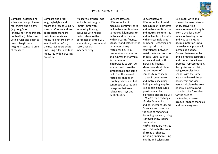

| Compare, describe and<br>solve practical problems<br>for lengths and heights<br>(e.g. long/short,<br>longer/shorter, tall/short,<br>double/half). Measure<br>with a ruler and begin to<br>record lengths and<br>heights in standard units<br>of measure. | Compare and order<br>lengths/heights and<br>record the results using >,<br>< and =. Choose and use<br>appropriate standard<br>units to estimate and<br>measure length/height in<br>any direction (m/cm) to<br>the nearest appropriate<br>unit using rulers and tape<br>measures with increasing<br>accuracy. | Measure, compare, add<br>and subtract lengths<br>(m/cm/mm) with<br>increasing fluency,<br>including with mixed<br>units. Measure the<br>perimeter of simple 2-D<br>shapes in m/cm/mm and<br>record results<br>independently. | Convert between<br>different units of<br>measure: centimetres to<br>millimetres, centimetres<br>to metres, kilometres to<br>metres and vice versa<br>with increasing fluency.<br>Measure and calculate the<br>perimeter of any<br>rectilinear figure in<br>centimetres and metres<br>and express the formula<br>for perimeter<br>algebraically as $2(a + b)$ ,<br>where $a$ and $b$ are the<br>dimensions in the same<br>unit. Find the area of<br>rectilinear shapes by<br>counting whole and half<br>centimetre squares and<br>recognise that area<br>relates to arrays and<br>multiplication. | Convert between<br>different units of metric<br>measure (e.g. kilometres<br>and metres; centimetres<br>and metres; centimetres<br>and millimetres) fluently,<br>with increasingly large<br>numbers. Recognise and<br>use approximate<br>equivalences between<br>metric units and common<br>imperial units, such as<br>inches and feet, with<br>increasing fluency.<br>Measure and calculate<br>the perimeter of<br>composite rectilinear<br>shapes in centimetres<br>and metres, including<br>finding missing lengths<br>(e.g. missing measures<br>questions can be<br>expressed algebraically: 4<br>$+ 2b = 20$ for a rectangle<br>of sides 2cm and b cm<br>and perimeter of 20 cm).<br>Calculate and compare<br>the area of rectangles<br>(including squares), using<br>standard units, square<br>centimetres<br>(cm <sup>2</sup> ) and square metres<br>$(m2)$ . Estimate the area | Use, read, write and<br>convert between standard<br>units, converting<br>measurements of length<br>from a smaller unit of<br>measure to a larger unit<br>and vice versa, using<br>decimal notation up to<br>three decimal places with<br>increasing fluency.<br>Convert between miles<br>and kilometres accurately<br>and connect to a linear<br>graphical representation.<br>Recognise and explain,<br>using examples how<br>shapes with the same<br>areas can have different<br>perimeters and vice<br>versa. Calculate the area<br>of parallelograms and<br>triangles. Use formulae<br>for the area of<br>rectangles, squares,<br>irregular shapes triangles<br>and parallelograms. |
|----------------------------------------------------------------------------------------------------------------------------------------------------------------------------------------------------------------------------------------------------------|--------------------------------------------------------------------------------------------------------------------------------------------------------------------------------------------------------------------------------------------------------------------------------------------------------------|------------------------------------------------------------------------------------------------------------------------------------------------------------------------------------------------------------------------------|--------------------------------------------------------------------------------------------------------------------------------------------------------------------------------------------------------------------------------------------------------------------------------------------------------------------------------------------------------------------------------------------------------------------------------------------------------------------------------------------------------------------------------------------------------------------------------------------------|---------------------------------------------------------------------------------------------------------------------------------------------------------------------------------------------------------------------------------------------------------------------------------------------------------------------------------------------------------------------------------------------------------------------------------------------------------------------------------------------------------------------------------------------------------------------------------------------------------------------------------------------------------------------------------------------------------------------------------------------------------------------------------------------------------------------------------------------------------------------------------------|----------------------------------------------------------------------------------------------------------------------------------------------------------------------------------------------------------------------------------------------------------------------------------------------------------------------------------------------------------------------------------------------------------------------------------------------------------------------------------------------------------------------------------------------------------------------------------------------------------------------------------------------------------------------------------------|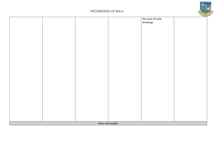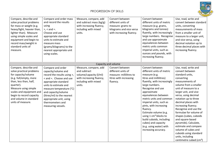

| Compare, describe and<br>solve practical problems<br>for mass or weight (e.g.<br>heavy/light, heavier than,<br>lighter than). Measure<br>using simple scales and<br>equipment and begin to<br>record mass/weight in<br>standard units of<br>measure.                     | Compare and order mass<br>and record the results<br>using<br>$>$ , $<$ and $=$ .<br>Choose and use<br>appropriate standard<br>units to estimate and<br>measure mass<br>(grams/kilograms) to the<br>nearest appropriate unit<br>using scales.                                                              | Measure, compare, add<br>and subtract mass (kg/g)<br>with increasing fluency,<br>including with mixed<br>units.               | Convert between<br>different units of<br>measure: grams to<br>kilograms and vice versa<br>with increasing fluency. | Convert between<br>different units of metric<br>measure (e.g. grams,<br>kilograms and tonnes)<br>fluently, with increasingly<br>large numbers. Recognise<br>and use approximate<br>equivalences between<br>metric units common<br>imperial units, such as<br>ounces and pounds, with<br>increasing fluency.                                                                                                                                                          | Use, read, write and<br>convert between standard<br>units, converting<br>measurements of mass<br>from a smaller unit of<br>measure to a larger unit,<br>and vice versa, using<br>decimal notation up to<br>three decimal places with<br>increasing fluency.                                                                                                                                                                                                                                                                       |
|--------------------------------------------------------------------------------------------------------------------------------------------------------------------------------------------------------------------------------------------------------------------------|-----------------------------------------------------------------------------------------------------------------------------------------------------------------------------------------------------------------------------------------------------------------------------------------------------------|-------------------------------------------------------------------------------------------------------------------------------|--------------------------------------------------------------------------------------------------------------------|----------------------------------------------------------------------------------------------------------------------------------------------------------------------------------------------------------------------------------------------------------------------------------------------------------------------------------------------------------------------------------------------------------------------------------------------------------------------|-----------------------------------------------------------------------------------------------------------------------------------------------------------------------------------------------------------------------------------------------------------------------------------------------------------------------------------------------------------------------------------------------------------------------------------------------------------------------------------------------------------------------------------|
|                                                                                                                                                                                                                                                                          |                                                                                                                                                                                                                                                                                                           |                                                                                                                               | Capacity and volume                                                                                                |                                                                                                                                                                                                                                                                                                                                                                                                                                                                      |                                                                                                                                                                                                                                                                                                                                                                                                                                                                                                                                   |
| Compare, describe and<br>solve practical problems<br>for capacity/volume<br>(e.g. full/empty, more<br>than, less than, half,<br>quarter).<br>Measure using simple<br>scales and equipment and<br>begin to record capacity<br>and volume in standard<br>units of measure. | Compare and order<br>capacity/volume and<br>record the results using >,<br>< and =. Choose and use<br>appropriate standard<br>units to estimate and<br>measure temperature (°C)<br>and capacity/volume<br>(litres/ml) to the nearest<br>appropriate unit, using<br>thermometers and<br>measuring vessels. | Measure, compare, add<br>and subtract<br>volume/capacity (I/ml)<br>with increasing fluency,<br>including with mixed<br>units. | Convert between<br>different units of<br>measure: millilitres to<br>litres with increasing<br>fluency.             | Convert between<br>different units of metric<br>measure (e.g.<br>litres and millilitres)<br>fluently, with increasingly<br>large numbers.<br>Recognise and use<br>approximate<br>equivalences between<br>metric units and common<br>imperial units, such as<br>pints, with increasing<br>fluency.<br>Estimate volume (e.g.<br>using $1 \text{ cm}^3$ blocks to<br>build cuboids, including<br>cubes) and capacity<br>(e.g. using water) with<br>increasing accuracy. | Use, read, write and<br>convert between<br>standard units,<br>converting<br>measurements of<br>volume from a smaller<br>unit of measure to a<br>larger unit, and vice<br>versa, using decimal<br>notation up to three<br>decimal places with<br>increasing fluency.<br>Recognise and use the<br>formulae for volume of<br>shapes (cubes, cuboids<br>and square-based<br>pyramids). Calculate,<br>estimate and compare<br>volume of cubes and<br>cuboids using standard<br>units, including<br>centimetre cubed (cm <sup>3</sup> ) |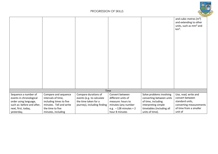

|                            |                         |                             |                         |                           | and cubic metres $(m^3)$                      |
|----------------------------|-------------------------|-----------------------------|-------------------------|---------------------------|-----------------------------------------------|
|                            |                         |                             |                         |                           | and extending to other                        |
|                            |                         |                             |                         |                           | units, such as mm <sup>3</sup> and<br>$km3$ . |
|                            |                         |                             |                         |                           |                                               |
|                            |                         |                             |                         |                           |                                               |
|                            |                         |                             |                         |                           |                                               |
|                            |                         |                             |                         |                           |                                               |
|                            |                         |                             |                         |                           |                                               |
|                            |                         |                             |                         |                           |                                               |
|                            |                         |                             |                         |                           |                                               |
|                            |                         |                             |                         |                           |                                               |
|                            |                         |                             |                         |                           |                                               |
|                            |                         |                             |                         |                           |                                               |
|                            |                         |                             |                         |                           |                                               |
|                            |                         |                             |                         |                           |                                               |
|                            |                         |                             |                         |                           |                                               |
|                            |                         |                             |                         |                           |                                               |
|                            |                         | Time                        |                         |                           |                                               |
| Sequence a number of       | Compare and sequence    | Compare durations of        | Convert between         | Solve problems involving  | Use, read, write and                          |
| events in chronological    | intervals of time,      | events (e.g. to calculate   | different units of      | converting between units  | convert between                               |
| order using language,      | including times to five | the time taken for a        | measure: hours to       | of time, including        | standard units,                               |
| such as: before and after, | minutes. Tell and write | journey), including finding | minutes (any number     | interpreting simple       | converting measurements                       |
| next, first, today,        | the time to five        |                             | e.g. $-128$ minutes = 2 | timetables (including all | of time from a smaller                        |
| yesterday,                 | minutes, including      |                             | hour 8 minutes          | units of time).           | unit of                                       |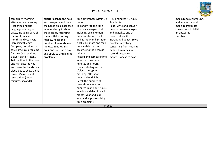

| tomorrow, morning,        | quarter past/to the hour  | time differences within 12 | $-214$ minutes = 3 hours  |              | measure to a larger unit, |
|---------------------------|---------------------------|----------------------------|---------------------------|--------------|---------------------------|
| afternoon and evening.    | and recognise and draw    | hours.                     | 34 minutes).              |              | and vice versa, and       |
| Recognise and use         | the hands on a clock face | Tell and write the time    | Read, write and convert   |              | make approximate          |
| language relating to      | independently to show     | from an analogue clock,    | time between analogue     |              | conversions to tell if    |
| dates, including days of  | these times, recording    | including using Roman      | and digital 12 and 24-    | an answer is |                           |
| the week, weeks,          | them with increasing      | numerals from I to XII,    | hour clocks with          | sensible.    |                           |
| months and years with     | fluency. Recall the       | and 12-hour and 24-hour    | increasing fluency. Solve |              |                           |
| increasing fluency.       | number of seconds in a    | clocks. Estimate and read  | problems involving        |              |                           |
| Compare, describe and     | minute, minutes in an     | time with increasing       | converting from hours to  |              |                           |
| solve practical problems  | hour and hours in a day,  | accuracy to the nearest    | minutes; minutes to       |              |                           |
| for time (e.g. quicker,   | and apply to simple time  | minute.                    | seconds; years to         |              |                           |
| slower, earlier, later).  | problems.                 | Record and compare time    | months; weeks to days.    |              |                           |
| Tell the time to the hour |                           | in terms of seconds,       |                           |              |                           |
| and half past the hour    |                           | minutes and hours.         |                           |              |                           |
| and draw the hands on a   |                           | Use vocabulary such as     |                           |              |                           |
| clock face to show these  |                           | o'clock, a.m./p.m.,        |                           |              |                           |
| times. Measure and        |                           | morning, afternoon,        |                           |              |                           |
| record time (hours,       |                           | noon and midnight.         |                           |              |                           |
| minutes, seconds).        |                           | Recall the number of       |                           |              |                           |
|                           |                           | seconds in a minute,       |                           |              |                           |
|                           |                           | minutes in an hour, hours  |                           |              |                           |
|                           |                           | in a day and days in each  |                           |              |                           |
|                           |                           | month, year and leap       |                           |              |                           |
|                           |                           | year and apply to solving  |                           |              |                           |
|                           |                           | time problems.             |                           |              |                           |
|                           |                           |                            | Money                     |              |                           |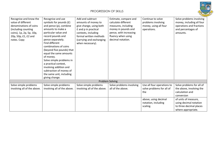

| Recognise and know the<br>value of different<br>denominations of coins<br>(including counting<br>coins), 1p, 2p, 5p, 10p,<br>20p, 50p, £1, £2 and<br>notes. Copy | Recognise and use<br>symbols for pounds (£)<br>and pence (p), combine<br>amounts to make a<br>particular value and<br>record pounds and<br>pence separately.<br>Find different<br>combinations of coins<br>(beyond five pounds) that<br>equal the same amounts<br>of money.<br>Solve simple problems in<br>a practical context,<br>involving addition and<br>subtraction of money of<br>the same unit, including<br>giving change. | Add and subtract<br>amounts of money to<br>give change, using both<br>£ and p in practical<br>contexts, including<br>formal written methods<br>(carrying and exchanging<br>when necessary). | Estimate, compare and<br>calculate different<br>measures, including<br>money in pounds and<br>pence, with increasing<br>fluency when using<br>decimal notation. | Continue to solve<br>problems involving<br>money, using all four<br>operations. | Solve problems involving<br>money, including all four<br>operations and fractions<br>and percentages of<br>amounts. |
|------------------------------------------------------------------------------------------------------------------------------------------------------------------|------------------------------------------------------------------------------------------------------------------------------------------------------------------------------------------------------------------------------------------------------------------------------------------------------------------------------------------------------------------------------------------------------------------------------------|---------------------------------------------------------------------------------------------------------------------------------------------------------------------------------------------|-----------------------------------------------------------------------------------------------------------------------------------------------------------------|---------------------------------------------------------------------------------|---------------------------------------------------------------------------------------------------------------------|
|                                                                                                                                                                  |                                                                                                                                                                                                                                                                                                                                                                                                                                    |                                                                                                                                                                                             | Problem Solving                                                                                                                                                 |                                                                                 |                                                                                                                     |
| Solve simple problems<br>involving all of the above.                                                                                                             | Solve simple problems<br>involving all of the above.                                                                                                                                                                                                                                                                                                                                                                               | Solve simple problems<br>involving all of the above.                                                                                                                                        | Solve problems involving<br>all of the above.                                                                                                                   | Use all four operations to<br>solve problems for all of<br>the                  | Solve problems for all of<br>the above, involving the<br>calculation and<br>conversion                              |
|                                                                                                                                                                  |                                                                                                                                                                                                                                                                                                                                                                                                                                    |                                                                                                                                                                                             |                                                                                                                                                                 | above, using decimal<br>notation, including<br>scaling.                         | of units of measure,<br>using decimal notation<br>to three decimal places<br>where appropriate.                     |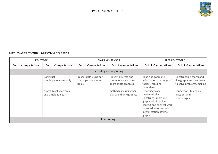

#### MATHEMATICS ESSENTIAL SKILLS Y1-Y6: STATISTICS

| <b>KEY STAGE 1</b>     |                                             | LOWER KEY STAGE 2                                           |                                                                        | <b>UPPER KEY STAGE 2</b>                                                                                                                                                        |                                                                                    |  |  |
|------------------------|---------------------------------------------|-------------------------------------------------------------|------------------------------------------------------------------------|---------------------------------------------------------------------------------------------------------------------------------------------------------------------------------|------------------------------------------------------------------------------------|--|--|
| End of Y1 expectations | End of Y2 expectations                      | End of Y3 expectations                                      | End of Y4 expectations                                                 | End of Y5 expectations                                                                                                                                                          | End of Y6 expectations                                                             |  |  |
|                        | Recording and organising                    |                                                             |                                                                        |                                                                                                                                                                                 |                                                                                    |  |  |
|                        | Construct<br>simple pictograms, tally       | Present data using bar<br>charts, pictograms and<br>tables. | Present discrete and<br>continuous data using<br>appropriate graphical | Read and complete<br>information in a range of<br>tables, including<br>timetables,                                                                                              | Construct pie charts and<br>line graphs and use these<br>to solve problems, making |  |  |
|                        | charts, block diagrams<br>and simple tables |                                                             | methods, including bar<br>charts and time graphs.                      | recording work<br>systematically.<br>Construct simple line<br>graphs within a given<br>context and connect work<br>on coordinates to their<br>interpretation of time<br>graphs. | connections to angles,<br>fractions and<br>percentages.                            |  |  |
| Interpreting           |                                             |                                                             |                                                                        |                                                                                                                                                                                 |                                                                                    |  |  |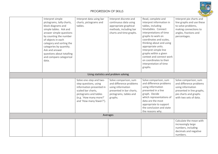

|          | Interpret simple<br>pictograms, tally charts,<br>block diagrams and<br>simple tables. Ask and<br>answer simple questions<br>by counting the number<br>of objects in each<br>category and sorting the<br>categories by quantity.<br>Ask and answer<br>questions about totalling<br>and compare categorical<br>data. | Interpret data using bar<br>charts, pictograms and<br>tables.                                                                                                                    | Interpret discrete and<br>continuous data using<br>appropriate graphical<br>methods, including bar<br>charts and time graphs.          | Read, complete and<br>interpret information in<br>tables, including<br>timetables. Connect<br>interpretations of time<br>graphs to work on<br>coordinates and scales,<br>thinking about and using<br>appropriate units.<br>Interpret simple line<br>graphs within a given<br>context and connect work<br>on coordinates to their<br>interpretation of time<br>graphs. | Interpret pie charts and<br>line graphs and use these<br>to solve problems,<br>making connections to<br>angles, fractions and<br>percentages.         |  |  |
|----------|--------------------------------------------------------------------------------------------------------------------------------------------------------------------------------------------------------------------------------------------------------------------------------------------------------------------|----------------------------------------------------------------------------------------------------------------------------------------------------------------------------------|----------------------------------------------------------------------------------------------------------------------------------------|-----------------------------------------------------------------------------------------------------------------------------------------------------------------------------------------------------------------------------------------------------------------------------------------------------------------------------------------------------------------------|-------------------------------------------------------------------------------------------------------------------------------------------------------|--|--|
|          | Using statistics and problem solving                                                                                                                                                                                                                                                                               |                                                                                                                                                                                  |                                                                                                                                        |                                                                                                                                                                                                                                                                                                                                                                       |                                                                                                                                                       |  |  |
|          |                                                                                                                                                                                                                                                                                                                    | Solve one-step and two-<br>step questions, using<br>information presented in<br>scaled bar charts,<br>pictograms and tables<br>(e.g. 'How many more?'<br>and 'How many fewer?'). | Solve comparison, sum<br>and difference problems<br>using information<br>presented in bar charts,<br>pictograms, tables and<br>graphs. | Solve comparison, sum<br>and difference problems<br>using information<br>presented in a line<br>graph. Decide<br>which representations of<br>data are the most<br>appropriate to support<br>the conclusion and state<br>the reasons why.                                                                                                                              | Solve comparison, sum<br>and difference problems<br>using information<br>presented in line graphs,<br>pie charts and graphs<br>with two sets of data. |  |  |
| Averages |                                                                                                                                                                                                                                                                                                                    |                                                                                                                                                                                  |                                                                                                                                        |                                                                                                                                                                                                                                                                                                                                                                       |                                                                                                                                                       |  |  |
|          |                                                                                                                                                                                                                                                                                                                    |                                                                                                                                                                                  |                                                                                                                                        |                                                                                                                                                                                                                                                                                                                                                                       | Calculate the mean with<br>increasingly large<br>numbers, including<br>decimals and negative<br>numbers.                                              |  |  |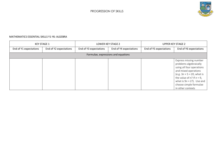

#### MATHEMATICS ESSENTIAL SKILLS Y1-Y6: ALGEBRA

| <b>KEY STAGE 1</b>                  |                        | LOWER KEY STAGE 2      |                        | <b>UPPER KEY STAGE 2</b> |                                                                                                                                                                                                                                                       |
|-------------------------------------|------------------------|------------------------|------------------------|--------------------------|-------------------------------------------------------------------------------------------------------------------------------------------------------------------------------------------------------------------------------------------------------|
| End of Y1 expectations              | End of Y2 expectations | End of Y3 expectations | End of Y4 expectations | End of Y5 expectations   | End of Y6 expectations                                                                                                                                                                                                                                |
| Formulae, expressions and equations |                        |                        |                        |                          |                                                                                                                                                                                                                                                       |
|                                     |                        |                        |                        |                          | Express missing number<br>problems algebraically<br>using all four operations<br>and mixed operations<br>(e.g. $3n + 5 = 20$ , what is<br>the value of n? If $n = 9$ ,<br>what is $9n + 2$ ?). Use and<br>choose simple formulae<br>in other contexts |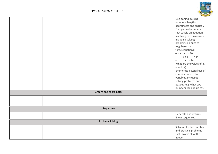

|                        | (e.g. to find missing<br>numbers, lengths,<br>coordinates and angles).<br>Find pairs of numbers<br>that satisfy an equation<br>involving two unknowns,<br>including solving<br>problems ad puzzles<br>(e.g. here are<br>three equations:<br>$-a + b + c = 30$<br>$a + b$<br>$= 24$<br>$\frac{1}{2}$<br>$b + c = 14$<br>$\overline{\phantom{m}}$<br>What are the values of $a$ ,<br>$b$ and $c$ ?).<br>Enumerate possibilities of<br>combinations of two<br>variables, including<br>solving problems and<br>puzzles (e.g. what two<br>numbers can add up to). |
|------------------------|--------------------------------------------------------------------------------------------------------------------------------------------------------------------------------------------------------------------------------------------------------------------------------------------------------------------------------------------------------------------------------------------------------------------------------------------------------------------------------------------------------------------------------------------------------------|
| Graphs and coordinates |                                                                                                                                                                                                                                                                                                                                                                                                                                                                                                                                                              |
|                        |                                                                                                                                                                                                                                                                                                                                                                                                                                                                                                                                                              |
|                        |                                                                                                                                                                                                                                                                                                                                                                                                                                                                                                                                                              |
| Sequences              |                                                                                                                                                                                                                                                                                                                                                                                                                                                                                                                                                              |
|                        | Generate and describe<br>linear sequences.                                                                                                                                                                                                                                                                                                                                                                                                                                                                                                                   |
| <b>Problem Solving</b> |                                                                                                                                                                                                                                                                                                                                                                                                                                                                                                                                                              |
|                        | Solve multi-step number<br>and practical problems<br>that involve all of the<br>above.                                                                                                                                                                                                                                                                                                                                                                                                                                                                       |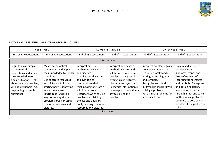

#### MATHEMATICS ESSENTIAL SKILLS Y1-Y6: PROBLEM SOLVING

| <b>KEY STAGE 1</b>                                                                                                                                                                                            |                                                                                                                                                                                                                                                                                                                          | LOWER KEY STAGE 2                                                                                                                                                                                                                                                                                                 |                                                                                                                                                                                                                                                       | <b>UPPER KEY STAGE 2</b>                                                                                                                                                                                                                                    |                                                                                                                                                                                                                                                                                                                      |
|---------------------------------------------------------------------------------------------------------------------------------------------------------------------------------------------------------------|--------------------------------------------------------------------------------------------------------------------------------------------------------------------------------------------------------------------------------------------------------------------------------------------------------------------------|-------------------------------------------------------------------------------------------------------------------------------------------------------------------------------------------------------------------------------------------------------------------------------------------------------------------|-------------------------------------------------------------------------------------------------------------------------------------------------------------------------------------------------------------------------------------------------------|-------------------------------------------------------------------------------------------------------------------------------------------------------------------------------------------------------------------------------------------------------------|----------------------------------------------------------------------------------------------------------------------------------------------------------------------------------------------------------------------------------------------------------------------------------------------------------------------|
| End of Y1 expectations                                                                                                                                                                                        | End of Y2 expectations                                                                                                                                                                                                                                                                                                   | End of Y3 expectations                                                                                                                                                                                                                                                                                            | End of Y4 expectations                                                                                                                                                                                                                                | End of Y5 expectations                                                                                                                                                                                                                                      | End of Y6 expectations                                                                                                                                                                                                                                                                                               |
|                                                                                                                                                                                                               |                                                                                                                                                                                                                                                                                                                          |                                                                                                                                                                                                                                                                                                                   | Interpretation                                                                                                                                                                                                                                        |                                                                                                                                                                                                                                                             |                                                                                                                                                                                                                                                                                                                      |
| Begin to make simple<br>mathematical<br>connections and apply<br>their knowledge to<br>similar situations. Talk<br>about a simple problem,<br>with adult support (e.g.<br>responding to simple<br>questions). | Make mathematical<br>connections and apply<br>their knowledge to similar<br>situations.<br>Use concrete resources<br>and pictorials to find a<br>starting point, identifying<br>key facts/relevant<br>information. Describe<br>ways of solving simple<br>problems orally or using<br>concrete resources and<br>pictures. | Interpret and use<br>mathematical symbols<br>and diagrams.<br>Use pictures, diagrams<br>and symbols to<br>communicate their<br>thinking/demonstrate a<br>solution or process.<br>Describe ways of solving<br>problems, explaining<br>choices and decisions<br>orally or using concrete<br>resources and pictures. | Interpret and describe<br>methods, choices and<br>solutions to puzzles and<br>problems, orally and in<br>writing, using pictures,<br>diagrams and symbols.<br>Recognise information in<br>one-step problems that is<br>key to solving the<br>problem. | Interpret problems, giving<br>clear explanations and<br>reasoning, orally and in<br>writing, using diagrams<br>and symbols.<br>Recognise and obtain<br>information that is key to<br>solving a problem.<br>Pose similar problems for<br>a partner to solve. | Explain and interpret<br>problems using<br>diagrams, graphs and<br>text; refine ways of<br>recording using images<br>and symbols. Recognise<br>and obtain necessary<br>information to carry<br>through a task and solve<br>mathematical problems.<br>Continue to pose similar<br>problems for a partner to<br>solve. |
| Reasoning                                                                                                                                                                                                     |                                                                                                                                                                                                                                                                                                                          |                                                                                                                                                                                                                                                                                                                   |                                                                                                                                                                                                                                                       |                                                                                                                                                                                                                                                             |                                                                                                                                                                                                                                                                                                                      |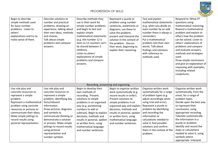

| Begin to describe<br>simple methods used<br>for basic number<br>problems. Listen to<br>others'<br>explanations and try to<br>make sense of them.                                                                                                                           | Describe solutions to<br>number and practical<br>problems, drawing on<br>experience, talking about<br>their own ideas, methods<br>and choices.<br>Talk about simple<br>problems and compare<br>answers.                                                                                                                                               | Describe methods they<br>use in their work for<br>simple number problems<br>and begin to test and<br>explain simple<br>mathematical statements<br>(e.g. the number 12 is<br>even so 12 counters can't<br>be shared between 3<br>children).<br>Listen to others'<br>explanations of simple<br>problems and compare<br>answers.         | Represent a puzzle or<br>problem using number<br>sentences, statements or<br>diagrams; use these to<br>solve the problem;<br>present and interpret the<br>solution in the context of<br>the problem. Discuss<br>their work, beginning to<br>explain their reasoning.                                    | Test and explain<br>mathematical statements<br>(e.g. when you divide an<br>even number by an odd<br>number there is always a<br>remainder).<br>Put a mathematical<br>problem into their own<br>words. Talk about<br>findings and solutions<br>with reference to<br>methods used.                                                                      | Respond to 'What if?<br>questions using<br>mathematical reasoning.<br>Reword a mathematical<br>problem and explain to<br>others how the problem<br>can be solved. Listen to<br>others' explanations of<br>problems and compare<br>and evaluate answers,<br>methods and strategies<br>used.<br>Draw simple conclusions<br>and give an explanation of<br>reasoning with examples,<br>including related<br>conjectures. |
|----------------------------------------------------------------------------------------------------------------------------------------------------------------------------------------------------------------------------------------------------------------------------|-------------------------------------------------------------------------------------------------------------------------------------------------------------------------------------------------------------------------------------------------------------------------------------------------------------------------------------------------------|---------------------------------------------------------------------------------------------------------------------------------------------------------------------------------------------------------------------------------------------------------------------------------------------------------------------------------------|---------------------------------------------------------------------------------------------------------------------------------------------------------------------------------------------------------------------------------------------------------------------------------------------------------|-------------------------------------------------------------------------------------------------------------------------------------------------------------------------------------------------------------------------------------------------------------------------------------------------------------------------------------------------------|----------------------------------------------------------------------------------------------------------------------------------------------------------------------------------------------------------------------------------------------------------------------------------------------------------------------------------------------------------------------------------------------------------------------|
|                                                                                                                                                                                                                                                                            |                                                                                                                                                                                                                                                                                                                                                       |                                                                                                                                                                                                                                                                                                                                       | Recording, presenting and organising                                                                                                                                                                                                                                                                    |                                                                                                                                                                                                                                                                                                                                                       |                                                                                                                                                                                                                                                                                                                                                                                                                      |
| Use role play and<br>concrete resources to<br>represent a simple<br>problem.<br>Represent a mathematical<br>problem using concrete<br>resources or pictures to<br>communicate their ideas.<br>Make simple jottings to<br>record results using<br>pictorial representation. | Use role play and<br>concrete resources to<br>represent a simple<br>problem, identifying key<br>facts/relevant<br>information.<br>Draw pictures, diagrams<br>and symbols to<br>communicate thinking or<br>demonstrate a solution<br>or process. Make simple<br>jottings to record results<br>using pictorial<br>representation and<br>number symbols. | Begin to develop their<br>own methods of<br>recording. Present<br>solutions to simple<br>problems in an organised<br>way (e.g. partitioning<br>numbers to add or<br>subtract). Begin to explain<br>decisions, methods and<br>results in pictorial, spoken<br>or written form, using<br>mathematical language<br>and number sentences. | Begin to organise written<br>work systematically (e.g.<br>record results in order).<br>Present solutions to<br>simple problems in an<br>organised way and explain<br>decisions, methods and<br>results in pictorial, spoken<br>or written form, using<br>mathematical language<br>and number sentences. | Organise written work<br>systematically for a range<br>of problem types (e.g.<br>adjust accordingly when<br>using trial and error).<br>Represent a puzzle or<br>problem by identifying<br>and recording the<br>information or<br>calculations needed to<br>solve it; find possible<br>solutions and confirm<br>them in the context of the<br>problem. | Organise written work<br>systematically, from the<br>onset, for a range of<br>problem types.<br>Decide upon the best way<br>to represent their<br>conclusions, using<br>appropriate recording.<br>Tabulate systematically<br>the information in a<br>puzzle or problem.<br>Identify and record the<br>steps or calculations<br>needed to solve it, using<br>symbols where<br>appropriate. Interpret                  |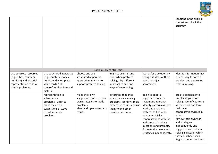

|                                                                                                                           |                                                                                                                                          |                                                                                                                                 |                                                                                                                                                          |                                                                                                                                                                                                                                                                                                      | solutions in the original<br>context and check their<br>accuracy.                                                                                                                                                                                                                                                               |
|---------------------------------------------------------------------------------------------------------------------------|------------------------------------------------------------------------------------------------------------------------------------------|---------------------------------------------------------------------------------------------------------------------------------|----------------------------------------------------------------------------------------------------------------------------------------------------------|------------------------------------------------------------------------------------------------------------------------------------------------------------------------------------------------------------------------------------------------------------------------------------------------------|---------------------------------------------------------------------------------------------------------------------------------------------------------------------------------------------------------------------------------------------------------------------------------------------------------------------------------|
|                                                                                                                           |                                                                                                                                          |                                                                                                                                 | Problem solving strategies                                                                                                                               |                                                                                                                                                                                                                                                                                                      |                                                                                                                                                                                                                                                                                                                                 |
| Use concrete resources<br>(e.g. cubes, counters,<br>numicon) and pictorial<br>representation to solve<br>simple problems. | Use structured apparatus<br>(e.g. counters, money,<br>numicon, dienes, place<br>value cards, 100<br>square/number line) and<br>pictorial | Choose and use<br>structured apparatus,<br>appropriate to task, to<br>support problem solving.                                  | Begin to use trail and<br>error when problem<br>solving. Try different<br>approaches and find<br>ways of overcoming                                      | Search for a solution by<br>trying out ideas of their<br>own and adjust<br>accordingly.                                                                                                                                                                                                              | Identify information that<br>is necessary to solve a<br>problem and determine<br>what is missing.                                                                                                                                                                                                                               |
|                                                                                                                           | representation to<br>solve simple<br>problems. Begin to<br>make their own<br>suggestions of ways<br>to tackle simple<br>problems.        | Make their own<br>suggestions and use their<br>own strategies to tackle<br>problems.<br>Identify simple patterns in<br>results. | difficulties that arise<br>when they are solving<br>problems. Identify simple<br>patterns in results and use<br>them to find other<br>possible outcomes. | Begin to adopt a<br>suggested model or<br>systematic approach.<br>Identify patterns as they<br>work and use these<br>patterns to find other<br>outcomes. Make<br>generalisations with the<br>assistance of probing<br>questions and prompts.<br>Evaluate their work and<br>strategies independently. | Break a problem into<br>simpler steps before<br>solving. Identify patterns<br>as they work and form<br>their own<br>generalisations/rules in<br>words.<br>Review their own work<br>and strategies<br>independently and<br>suggest other problem<br>solving strategies which<br>they could have used.<br>Begin to understand and |